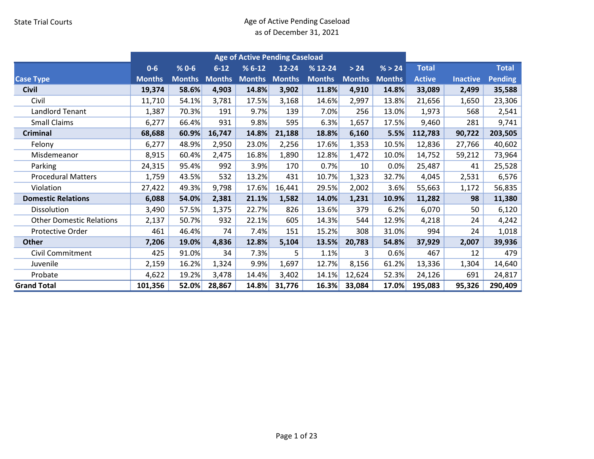|                                 | <b>Age of Active Pending Caseload</b><br>$% 0 - 6$<br>$% 6-12$<br>$% 12 - 24$<br>$0-6$<br>$6 - 12$<br>$12 - 24$<br>$>24$<br>% > 24<br><b>Months</b><br><b>Months</b><br><b>Months</b><br><b>Months</b><br><b>Months</b><br><b>Months</b><br><b>Months</b><br><b>Months</b><br>58.6%<br>14.8%<br>19,374<br>4,903<br>3,902<br>11.8%<br>14.8%<br>4,910<br>11,710<br>54.1%<br>3,781<br>17.5%<br>3,168<br>14.6%<br>2,997<br>13.8%<br>70.3%<br>191<br>9.7%<br>139<br>7.0%<br>256<br>13.0%<br>1,387<br>595<br>6,277<br>66.4%<br>931<br>9.8%<br>6.3%<br>1,657<br>17.5%<br>68,688<br>60.9%<br>14.8%<br>21,188<br>18.8%<br>6,160<br>5.5%<br>16,747 |       |        |       |        |       |        |       |               |                 |                |
|---------------------------------|------------------------------------------------------------------------------------------------------------------------------------------------------------------------------------------------------------------------------------------------------------------------------------------------------------------------------------------------------------------------------------------------------------------------------------------------------------------------------------------------------------------------------------------------------------------------------------------------------------------------------------------|-------|--------|-------|--------|-------|--------|-------|---------------|-----------------|----------------|
|                                 |                                                                                                                                                                                                                                                                                                                                                                                                                                                                                                                                                                                                                                          |       |        |       |        |       |        |       | <b>Total</b>  |                 | <b>Total</b>   |
| <b>Case Type</b>                |                                                                                                                                                                                                                                                                                                                                                                                                                                                                                                                                                                                                                                          |       |        |       |        |       |        |       | <b>Active</b> | <b>Inactive</b> | <b>Pending</b> |
| <b>Civil</b>                    |                                                                                                                                                                                                                                                                                                                                                                                                                                                                                                                                                                                                                                          |       |        |       |        |       |        |       | 33,089        | 2,499           | 35,588         |
| Civil                           |                                                                                                                                                                                                                                                                                                                                                                                                                                                                                                                                                                                                                                          |       |        |       |        |       |        |       | 21,656        | 1,650           | 23,306         |
| <b>Landlord Tenant</b>          |                                                                                                                                                                                                                                                                                                                                                                                                                                                                                                                                                                                                                                          |       |        |       |        |       |        |       | 1,973         | 568             | 2,541          |
| <b>Small Claims</b>             |                                                                                                                                                                                                                                                                                                                                                                                                                                                                                                                                                                                                                                          |       |        |       |        |       |        |       | 9,460         | 281             | 9,741          |
| Criminal                        |                                                                                                                                                                                                                                                                                                                                                                                                                                                                                                                                                                                                                                          |       |        |       |        |       |        |       | 112,783       | 90,722          | 203,505        |
| Felony                          | 6,277                                                                                                                                                                                                                                                                                                                                                                                                                                                                                                                                                                                                                                    | 48.9% | 2,950  | 23.0% | 2,256  | 17.6% | 1,353  | 10.5% | 12,836        | 27,766          | 40,602         |
| Misdemeanor                     | 8,915                                                                                                                                                                                                                                                                                                                                                                                                                                                                                                                                                                                                                                    | 60.4% | 2,475  | 16.8% | 1,890  | 12.8% | 1,472  | 10.0% | 14,752        | 59,212          | 73,964         |
| Parking                         | 24,315                                                                                                                                                                                                                                                                                                                                                                                                                                                                                                                                                                                                                                   | 95.4% | 992    | 3.9%  | 170    | 0.7%  | 10     | 0.0%  | 25,487        | 41              | 25,528         |
| <b>Procedural Matters</b>       | 1,759                                                                                                                                                                                                                                                                                                                                                                                                                                                                                                                                                                                                                                    | 43.5% | 532    | 13.2% | 431    | 10.7% | 1,323  | 32.7% | 4,045         | 2,531           | 6,576          |
| Violation                       | 27,422                                                                                                                                                                                                                                                                                                                                                                                                                                                                                                                                                                                                                                   | 49.3% | 9,798  | 17.6% | 16,441 | 29.5% | 2,002  | 3.6%  | 55,663        | 1,172           | 56,835         |
| <b>Domestic Relations</b>       | 6,088                                                                                                                                                                                                                                                                                                                                                                                                                                                                                                                                                                                                                                    | 54.0% | 2,381  | 21.1% | 1,582  | 14.0% | 1,231  | 10.9% | 11,282        | 98              | 11,380         |
| Dissolution                     | 3,490                                                                                                                                                                                                                                                                                                                                                                                                                                                                                                                                                                                                                                    | 57.5% | 1,375  | 22.7% | 826    | 13.6% | 379    | 6.2%  | 6,070         | 50              | 6,120          |
| <b>Other Domestic Relations</b> | 2,137                                                                                                                                                                                                                                                                                                                                                                                                                                                                                                                                                                                                                                    | 50.7% | 932    | 22.1% | 605    | 14.3% | 544    | 12.9% | 4,218         | 24              | 4,242          |
| Protective Order                | 461                                                                                                                                                                                                                                                                                                                                                                                                                                                                                                                                                                                                                                      | 46.4% | 74     | 7.4%  | 151    | 15.2% | 308    | 31.0% | 994           | 24              | 1,018          |
| <b>Other</b>                    | 7,206                                                                                                                                                                                                                                                                                                                                                                                                                                                                                                                                                                                                                                    | 19.0% | 4,836  | 12.8% | 5,104  | 13.5% | 20,783 | 54.8% | 37,929        | 2,007           | 39,936         |
| <b>Civil Commitment</b>         | 425                                                                                                                                                                                                                                                                                                                                                                                                                                                                                                                                                                                                                                      | 91.0% | 34     | 7.3%  | 5      | 1.1%  | 3      | 0.6%  | 467           | 12              | 479            |
| Juvenile                        | 2,159                                                                                                                                                                                                                                                                                                                                                                                                                                                                                                                                                                                                                                    | 16.2% | 1,324  | 9.9%  | 1,697  | 12.7% | 8,156  | 61.2% | 13,336        | 1,304           | 14,640         |
| Probate                         | 4,622                                                                                                                                                                                                                                                                                                                                                                                                                                                                                                                                                                                                                                    | 19.2% | 3,478  | 14.4% | 3,402  | 14.1% | 12,624 | 52.3% | 24,126        | 691             | 24,817         |
| <b>Grand Total</b>              | 101,356                                                                                                                                                                                                                                                                                                                                                                                                                                                                                                                                                                                                                                  | 52.0% | 28,867 | 14.8% | 31,776 | 16.3% | 33,084 | 17.0% | 195,083       | 95,326          | 290,409        |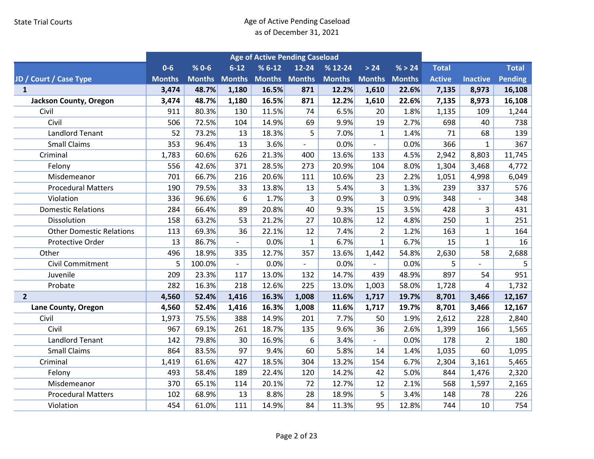|                                 |               |               |                          | <b>Age of Active Pending Caseload</b> |                          |               |                          |        |               |                 |                |
|---------------------------------|---------------|---------------|--------------------------|---------------------------------------|--------------------------|---------------|--------------------------|--------|---------------|-----------------|----------------|
|                                 | $0-6$         | $% 0 - 6$     | $6 - 12$                 | $% 6-12$                              | $12 - 24$                | $% 12-24$     | $>24$                    | % > 24 | <b>Total</b>  |                 | <b>Total</b>   |
| JD / Court / Case Type          | <b>Months</b> | <b>Months</b> | <b>Months</b>            | <b>Months Months</b>                  |                          | <b>Months</b> | <b>Months Months</b>     |        | <b>Active</b> | <b>Inactive</b> | <b>Pending</b> |
| $\mathbf{1}$                    | 3,474         | 48.7%         | 1,180                    | 16.5%                                 | 871                      | 12.2%         | 1,610                    | 22.6%  | 7,135         | 8,973           | 16,108         |
| Jackson County, Oregon          | 3,474         | 48.7%         | 1,180                    | 16.5%                                 | 871                      | 12.2%         | 1,610                    | 22.6%  | 7,135         | 8,973           | 16,108         |
| Civil                           | 911           | 80.3%         | 130                      | 11.5%                                 | 74                       | 6.5%          | 20                       | 1.8%   | 1,135         | 109             | 1,244          |
| Civil                           | 506           | 72.5%         | 104                      | 14.9%                                 | 69                       | 9.9%          | 19                       | 2.7%   | 698           | 40              | 738            |
| <b>Landlord Tenant</b>          | 52            | 73.2%         | 13                       | 18.3%                                 | 5                        | 7.0%          | $\mathbf{1}$             | 1.4%   | 71            | 68              | 139            |
| <b>Small Claims</b>             | 353           | 96.4%         | 13                       | 3.6%                                  | $\overline{\phantom{a}}$ | 0.0%          | $\overline{\phantom{a}}$ | 0.0%   | 366           | $\mathbf{1}$    | 367            |
| Criminal                        | 1,783         | 60.6%         | 626                      | 21.3%                                 | 400                      | 13.6%         | 133                      | 4.5%   | 2,942         | 8,803           | 11,745         |
| Felony                          | 556           | 42.6%         | 371                      | 28.5%                                 | 273                      | 20.9%         | 104                      | 8.0%   | 1,304         | 3,468           | 4,772          |
| Misdemeanor                     | 701           | 66.7%         | 216                      | 20.6%                                 | 111                      | 10.6%         | 23                       | 2.2%   | 1,051         | 4,998           | 6,049          |
| <b>Procedural Matters</b>       | 190           | 79.5%         | 33                       | 13.8%                                 | 13                       | 5.4%          | 3                        | 1.3%   | 239           | 337             | 576            |
| Violation                       | 336           | 96.6%         | 6                        | 1.7%                                  | 3                        | 0.9%          | 3                        | 0.9%   | 348           | $\overline{a}$  | 348            |
| <b>Domestic Relations</b>       | 284           | 66.4%         | 89                       | 20.8%                                 | 40                       | 9.3%          | 15                       | 3.5%   | 428           | 3               | 431            |
| Dissolution                     | 158           | 63.2%         | 53                       | 21.2%                                 | 27                       | 10.8%         | 12                       | 4.8%   | 250           | $\mathbf{1}$    | 251            |
| <b>Other Domestic Relations</b> | 113           | 69.3%         | 36                       | 22.1%                                 | 12                       | 7.4%          | $\overline{2}$           | 1.2%   | 163           | $\mathbf{1}$    | 164            |
| Protective Order                | 13            | 86.7%         | $\overline{\phantom{a}}$ | 0.0%                                  | $\mathbf{1}$             | 6.7%          | $\mathbf{1}$             | 6.7%   | 15            | $\mathbf{1}$    | 16             |
| Other                           | 496           | 18.9%         | 335                      | 12.7%                                 | 357                      | 13.6%         | 1,442                    | 54.8%  | 2,630         | 58              | 2,688          |
| <b>Civil Commitment</b>         | 5             | 100.0%        |                          | 0.0%                                  |                          | 0.0%          |                          | 0.0%   | 5             |                 | 5              |
| Juvenile                        | 209           | 23.3%         | 117                      | 13.0%                                 | 132                      | 14.7%         | 439                      | 48.9%  | 897           | 54              | 951            |
| Probate                         | 282           | 16.3%         | 218                      | 12.6%                                 | 225                      | 13.0%         | 1,003                    | 58.0%  | 1,728         | 4               | 1,732          |
| $\overline{2}$                  | 4,560         | 52.4%         | 1,416                    | 16.3%                                 | 1,008                    | 11.6%         | 1,717                    | 19.7%  | 8,701         | 3,466           | 12,167         |
| Lane County, Oregon             | 4,560         | 52.4%         | 1,416                    | 16.3%                                 | 1,008                    | 11.6%         | 1,717                    | 19.7%  | 8,701         | 3,466           | 12,167         |
| Civil                           | 1,973         | 75.5%         | 388                      | 14.9%                                 | 201                      | 7.7%          | 50                       | 1.9%   | 2,612         | 228             | 2,840          |
| Civil                           | 967           | 69.1%         | 261                      | 18.7%                                 | 135                      | 9.6%          | 36                       | 2.6%   | 1,399         | 166             | 1,565          |
| <b>Landlord Tenant</b>          | 142           | 79.8%         | 30                       | 16.9%                                 | 6                        | 3.4%          | $\overline{\phantom{a}}$ | 0.0%   | 178           | $\overline{2}$  | 180            |
| <b>Small Claims</b>             | 864           | 83.5%         | 97                       | 9.4%                                  | 60                       | 5.8%          | 14                       | 1.4%   | 1,035         | 60              | 1,095          |
| Criminal                        | 1,419         | 61.6%         | 427                      | 18.5%                                 | 304                      | 13.2%         | 154                      | 6.7%   | 2,304         | 3,161           | 5,465          |
| Felony                          | 493           | 58.4%         | 189                      | 22.4%                                 | 120                      | 14.2%         | 42                       | 5.0%   | 844           | 1,476           | 2,320          |
| Misdemeanor                     | 370           | 65.1%         | 114                      | 20.1%                                 | 72                       | 12.7%         | 12                       | 2.1%   | 568           | 1,597           | 2,165          |
| <b>Procedural Matters</b>       | 102           | 68.9%         | 13                       | 8.8%                                  | 28                       | 18.9%         | 5                        | 3.4%   | 148           | 78              | 226            |
| Violation                       | 454           | 61.0%         | 111                      | 14.9%                                 | 84                       | 11.3%         | 95                       | 12.8%  | 744           | 10              | 754            |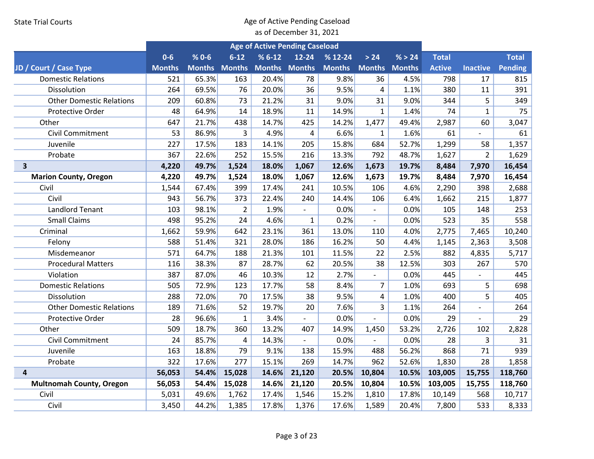|                                 | <b>Age of Active Pending Caseload</b> |           |                      |                      |                          |               |                          |        |               |                          |              |
|---------------------------------|---------------------------------------|-----------|----------------------|----------------------|--------------------------|---------------|--------------------------|--------|---------------|--------------------------|--------------|
|                                 | $0 - 6$                               | $% 0 - 6$ | $6 - 12$             | $% 6-12$             | $12 - 24$                | $% 12-24$     | > 24                     | % > 24 | <b>Total</b>  |                          | <b>Total</b> |
| JD / Court / Case Type          | <b>Months</b>                         |           | <b>Months Months</b> | <b>Months Months</b> |                          | <b>Months</b> | <b>Months Months</b>     |        | <b>Active</b> | <b>Inactive</b>          | Pending      |
| <b>Domestic Relations</b>       | 521                                   | 65.3%     | 163                  | 20.4%                | 78                       | 9.8%          | 36                       | 4.5%   | 798           | 17                       | 815          |
| Dissolution                     | 264                                   | 69.5%     | 76                   | 20.0%                | 36                       | 9.5%          | $\overline{4}$           | 1.1%   | 380           | 11                       | 391          |
| <b>Other Domestic Relations</b> | 209                                   | 60.8%     | 73                   | 21.2%                | 31                       | 9.0%          | 31                       | 9.0%   | 344           | 5                        | 349          |
| Protective Order                | 48                                    | 64.9%     | 14                   | 18.9%                | 11                       | 14.9%         | $\mathbf{1}$             | 1.4%   | 74            | $\mathbf{1}$             | 75           |
| Other                           | 647                                   | 21.7%     | 438                  | 14.7%                | 425                      | 14.2%         | 1,477                    | 49.4%  | 2,987         | 60                       | 3,047        |
| <b>Civil Commitment</b>         | 53                                    | 86.9%     | $\overline{3}$       | 4.9%                 | $\overline{4}$           | 6.6%          | 1                        | 1.6%   | 61            |                          | 61           |
| Juvenile                        | 227                                   | 17.5%     | 183                  | 14.1%                | 205                      | 15.8%         | 684                      | 52.7%  | 1,299         | 58                       | 1,357        |
| Probate                         | 367                                   | 22.6%     | 252                  | 15.5%                | 216                      | 13.3%         | 792                      | 48.7%  | 1,627         | $\overline{2}$           | 1,629        |
| $\overline{\mathbf{3}}$         | 4,220                                 | 49.7%     | 1,524                | 18.0%                | 1,067                    | 12.6%         | 1,673                    | 19.7%  | 8,484         | 7,970                    | 16,454       |
| <b>Marion County, Oregon</b>    | 4,220                                 | 49.7%     | 1,524                | 18.0%                | 1,067                    | 12.6%         | 1,673                    | 19.7%  | 8,484         | 7,970                    | 16,454       |
| Civil                           | 1,544                                 | 67.4%     | 399                  | 17.4%                | 241                      | 10.5%         | 106                      | 4.6%   | 2,290         | 398                      | 2,688        |
| Civil                           | 943                                   | 56.7%     | 373                  | 22.4%                | 240                      | 14.4%         | 106                      | 6.4%   | 1,662         | 215                      | 1,877        |
| <b>Landlord Tenant</b>          | 103                                   | 98.1%     | $\overline{2}$       | 1.9%                 | $\overline{\phantom{a}}$ | 0.0%          | $\overline{\phantom{a}}$ | 0.0%   | 105           | 148                      | 253          |
| <b>Small Claims</b>             | 498                                   | 95.2%     | 24                   | 4.6%                 | $\mathbf{1}$             | 0.2%          | $\sim$                   | 0.0%   | 523           | 35                       | 558          |
| Criminal                        | 1,662                                 | 59.9%     | 642                  | 23.1%                | 361                      | 13.0%         | 110                      | 4.0%   | 2,775         | 7,465                    | 10,240       |
| Felony                          | 588                                   | 51.4%     | 321                  | 28.0%                | 186                      | 16.2%         | 50                       | 4.4%   | 1,145         | 2,363                    | 3,508        |
| Misdemeanor                     | 571                                   | 64.7%     | 188                  | 21.3%                | 101                      | 11.5%         | 22                       | 2.5%   | 882           | 4,835                    | 5,717        |
| <b>Procedural Matters</b>       | 116                                   | 38.3%     | 87                   | 28.7%                | 62                       | 20.5%         | 38                       | 12.5%  | 303           | 267                      | 570          |
| Violation                       | 387                                   | 87.0%     | 46                   | 10.3%                | 12                       | 2.7%          | $\blacksquare$           | 0.0%   | 445           | $\overline{\phantom{a}}$ | 445          |
| <b>Domestic Relations</b>       | 505                                   | 72.9%     | 123                  | 17.7%                | 58                       | 8.4%          | $\overline{7}$           | 1.0%   | 693           | 5                        | 698          |
| Dissolution                     | 288                                   | 72.0%     | 70                   | 17.5%                | 38                       | 9.5%          | 4                        | 1.0%   | 400           | 5                        | 405          |
| <b>Other Domestic Relations</b> | 189                                   | 71.6%     | 52                   | 19.7%                | 20                       | 7.6%          | 3                        | 1.1%   | 264           | $\overline{a}$           | 264          |
| Protective Order                | 28                                    | 96.6%     | $\mathbf{1}$         | 3.4%                 |                          | 0.0%          |                          | 0.0%   | 29            |                          | 29           |
| Other                           | 509                                   | 18.7%     | 360                  | 13.2%                | 407                      | 14.9%         | 1,450                    | 53.2%  | 2,726         | 102                      | 2,828        |
| Civil Commitment                | 24                                    | 85.7%     | 4                    | 14.3%                | $\blacksquare$           | 0.0%          | $\overline{a}$           | 0.0%   | 28            | 3                        | 31           |
| Juvenile                        | 163                                   | 18.8%     | 79                   | 9.1%                 | 138                      | 15.9%         | 488                      | 56.2%  | 868           | 71                       | 939          |
| Probate                         | 322                                   | 17.6%     | 277                  | 15.1%                | 269                      | 14.7%         | 962                      | 52.6%  | 1,830         | 28                       | 1,858        |
| 4                               | 56,053                                | 54.4%     | 15,028               | 14.6%                | 21,120                   | 20.5%         | 10,804                   | 10.5%  | 103,005       | 15,755                   | 118,760      |
| <b>Multnomah County, Oregon</b> | 56,053                                | 54.4%     | 15,028               | 14.6%                | 21,120                   | 20.5%         | 10,804                   | 10.5%  | 103,005       | 15,755                   | 118,760      |
| Civil                           | 5,031                                 | 49.6%     | 1,762                | 17.4%                | 1,546                    | 15.2%         | 1,810                    | 17.8%  | 10,149        | 568                      | 10,717       |
| Civil                           | 3,450                                 | 44.2%     | 1,385                | 17.8%                | 1,376                    | 17.6%         | 1,589                    | 20.4%  | 7,800         | 533                      | 8,333        |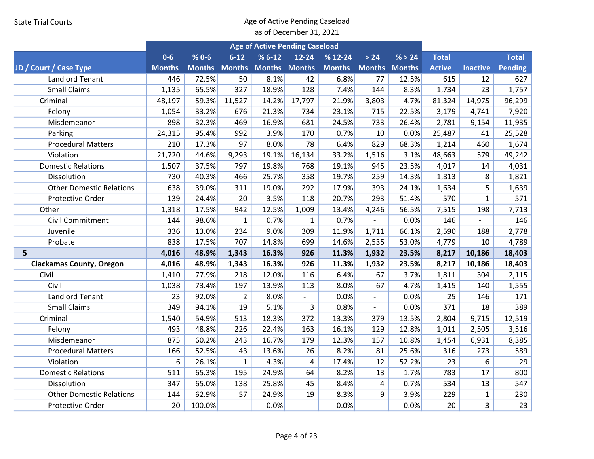|                                 |               | <b>Age of Active Pending Caseload</b> |                |                      |                          |               |                          |        |               |                 |              |
|---------------------------------|---------------|---------------------------------------|----------------|----------------------|--------------------------|---------------|--------------------------|--------|---------------|-----------------|--------------|
|                                 | $0 - 6$       | $% 0 - 6$                             | $6 - 12$       | $%6-12$              | $12 - 24$                | $% 12-24$     | > 24                     | % > 24 | <b>Total</b>  |                 | <b>Total</b> |
| JD / Court / Case Type          | <b>Months</b> | <b>Months Months</b>                  |                | <b>Months Months</b> |                          | <b>Months</b> | <b>Months Months</b>     |        | <b>Active</b> | <b>Inactive</b> | Pending      |
| <b>Landlord Tenant</b>          | 446           | 72.5%                                 | 50             | 8.1%                 | 42                       | 6.8%          | 77                       | 12.5%  | 615           | 12              | 627          |
| <b>Small Claims</b>             | 1,135         | 65.5%                                 | 327            | 18.9%                | 128                      | 7.4%          | 144                      | 8.3%   | 1,734         | 23              | 1,757        |
| Criminal                        | 48,197        | 59.3%                                 | 11,527         | 14.2%                | 17,797                   | 21.9%         | 3,803                    | 4.7%   | 81,324        | 14,975          | 96,299       |
| Felony                          | 1,054         | 33.2%                                 | 676            | 21.3%                | 734                      | 23.1%         | 715                      | 22.5%  | 3,179         | 4,741           | 7,920        |
| Misdemeanor                     | 898           | 32.3%                                 | 469            | 16.9%                | 681                      | 24.5%         | 733                      | 26.4%  | 2,781         | 9,154           | 11,935       |
| Parking                         | 24,315        | 95.4%                                 | 992            | 3.9%                 | 170                      | 0.7%          | 10                       | 0.0%   | 25,487        | 41              | 25,528       |
| <b>Procedural Matters</b>       | 210           | 17.3%                                 | 97             | 8.0%                 | 78                       | 6.4%          | 829                      | 68.3%  | 1,214         | 460             | 1,674        |
| Violation                       | 21,720        | 44.6%                                 | 9,293          | 19.1%                | 16,134                   | 33.2%         | 1,516                    | 3.1%   | 48,663        | 579             | 49,242       |
| <b>Domestic Relations</b>       | 1,507         | 37.5%                                 | 797            | 19.8%                | 768                      | 19.1%         | 945                      | 23.5%  | 4,017         | 14              | 4,031        |
| Dissolution                     | 730           | 40.3%                                 | 466            | 25.7%                | 358                      | 19.7%         | 259                      | 14.3%  | 1,813         | 8               | 1,821        |
| <b>Other Domestic Relations</b> | 638           | 39.0%                                 | 311            | 19.0%                | 292                      | 17.9%         | 393                      | 24.1%  | 1,634         | 5               | 1,639        |
| Protective Order                | 139           | 24.4%                                 | 20             | 3.5%                 | 118                      | 20.7%         | 293                      | 51.4%  | 570           | $\mathbf{1}$    | 571          |
| Other                           | 1,318         | 17.5%                                 | 942            | 12.5%                | 1,009                    | 13.4%         | 4,246                    | 56.5%  | 7,515         | 198             | 7,713        |
| <b>Civil Commitment</b>         | 144           | 98.6%                                 | $\mathbf{1}$   | 0.7%                 | $\mathbf{1}$             | 0.7%          |                          | 0.0%   | 146           | $\blacksquare$  | 146          |
| Juvenile                        | 336           | 13.0%                                 | 234            | 9.0%                 | 309                      | 11.9%         | 1,711                    | 66.1%  | 2,590         | 188             | 2,778        |
| Probate                         | 838           | 17.5%                                 | 707            | 14.8%                | 699                      | 14.6%         | 2,535                    | 53.0%  | 4,779         | 10              | 4,789        |
| 5                               | 4,016         | 48.9%                                 | 1,343          | 16.3%                | 926                      | 11.3%         | 1,932                    | 23.5%  | 8,217         | 10,186          | 18,403       |
| <b>Clackamas County, Oregon</b> | 4,016         | 48.9%                                 | 1,343          | 16.3%                | 926                      | 11.3%         | 1,932                    | 23.5%  | 8,217         | 10,186          | 18,403       |
| Civil                           | 1,410         | 77.9%                                 | 218            | 12.0%                | 116                      | 6.4%          | 67                       | 3.7%   | 1,811         | 304             | 2,115        |
| Civil                           | 1,038         | 73.4%                                 | 197            | 13.9%                | 113                      | 8.0%          | 67                       | 4.7%   | 1,415         | 140             | 1,555        |
| <b>Landlord Tenant</b>          | 23            | 92.0%                                 | $\overline{2}$ | 8.0%                 | $\overline{\phantom{m}}$ | 0.0%          | $\overline{\phantom{a}}$ | 0.0%   | 25            | 146             | 171          |
| <b>Small Claims</b>             | 349           | 94.1%                                 | 19             | 5.1%                 | 3                        | 0.8%          | $\overline{\phantom{a}}$ | 0.0%   | 371           | 18              | 389          |
| Criminal                        | 1,540         | 54.9%                                 | 513            | 18.3%                | 372                      | 13.3%         | 379                      | 13.5%  | 2,804         | 9,715           | 12,519       |
| Felony                          | 493           | 48.8%                                 | 226            | 22.4%                | 163                      | 16.1%         | 129                      | 12.8%  | 1,011         | 2,505           | 3,516        |
| Misdemeanor                     | 875           | 60.2%                                 | 243            | 16.7%                | 179                      | 12.3%         | 157                      | 10.8%  | 1,454         | 6,931           | 8,385        |
| <b>Procedural Matters</b>       | 166           | 52.5%                                 | 43             | 13.6%                | 26                       | 8.2%          | 81                       | 25.6%  | 316           | 273             | 589          |
| Violation                       | 6             | 26.1%                                 | $\mathbf{1}$   | 4.3%                 | 4                        | 17.4%         | 12                       | 52.2%  | 23            | 6               | 29           |
| <b>Domestic Relations</b>       | 511           | 65.3%                                 | 195            | 24.9%                | 64                       | 8.2%          | 13                       | 1.7%   | 783           | 17              | 800          |
| Dissolution                     | 347           | 65.0%                                 | 138            | 25.8%                | 45                       | 8.4%          | $\overline{\mathbf{4}}$  | 0.7%   | 534           | 13              | 547          |
| <b>Other Domestic Relations</b> | 144           | 62.9%                                 | 57             | 24.9%                | 19                       | 8.3%          | 9                        | 3.9%   | 229           | $\mathbf{1}$    | 230          |
| Protective Order                | 20            | 100.0%                                | $\overline{a}$ | 0.0%                 |                          | 0.0%          | $\overline{a}$           | 0.0%   | 20            | 3               | 23           |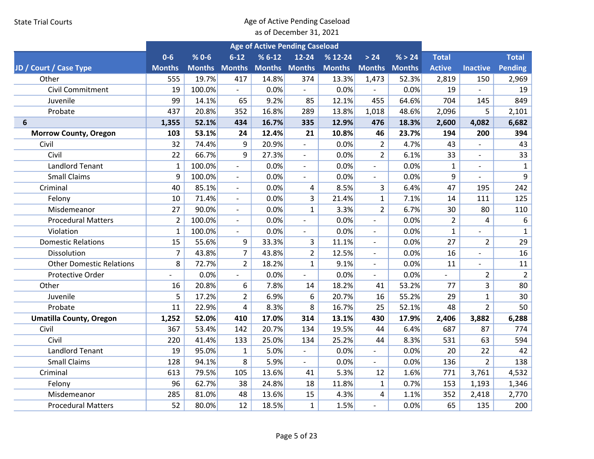|                                 |                |           |                          |                      | <b>Age of Active Pending Caseload</b> |               |                          | % > 24<br><b>Total</b> |                |                          |                  |
|---------------------------------|----------------|-----------|--------------------------|----------------------|---------------------------------------|---------------|--------------------------|------------------------|----------------|--------------------------|------------------|
|                                 | $0 - 6$        | $% 0 - 6$ | $6 - 12$                 | $% 6-12$             | $12 - 24$                             | $% 12-24$     | > 24                     |                        |                |                          | <b>Total</b>     |
| JD / Court / Case Type          | <b>Months</b>  |           | <b>Months Months</b>     | <b>Months Months</b> |                                       | <b>Months</b> |                          | <b>Months Months</b>   | <b>Active</b>  | <b>Inactive</b>          | Pending          |
| Other                           | 555            | 19.7%     | 417                      | 14.8%                | 374                                   | 13.3%         | 1,473                    | 52.3%                  | 2,819          | 150                      | 2,969            |
| Civil Commitment                | 19             | 100.0%    | $\blacksquare$           | 0.0%                 | $\blacksquare$                        | 0.0%          |                          | 0.0%                   | 19             | $\blacksquare$           | 19               |
| Juvenile                        | 99             | 14.1%     | 65                       | 9.2%                 | 85                                    | 12.1%         | 455                      | 64.6%                  | 704            | 145                      | 849              |
| Probate                         | 437            | 20.8%     | 352                      | 16.8%                | 289                                   | 13.8%         | 1,018                    | 48.6%                  | 2,096          | 5                        | 2,101            |
| 6                               | 1,355          | 52.1%     | 434                      | 16.7%                | 335                                   | 12.9%         | 476                      | 18.3%                  | 2,600          | 4,082                    | 6,682            |
| <b>Morrow County, Oregon</b>    | 103            | 53.1%     | 24                       | 12.4%                | 21                                    | 10.8%         | 46                       | 23.7%                  | 194            | 200                      | 394              |
| Civil                           | 32             | 74.4%     | 9                        | 20.9%                |                                       | 0.0%          | $\overline{2}$           | 4.7%                   | 43             |                          | 43               |
| Civil                           | 22             | 66.7%     | 9                        | 27.3%                | $\blacksquare$                        | 0.0%          | $\overline{2}$           | 6.1%                   | 33             | $\overline{\phantom{a}}$ | 33               |
| <b>Landlord Tenant</b>          | $\mathbf{1}$   | 100.0%    | $\mathbb{L}$             | 0.0%                 | $\overline{\phantom{a}}$              | 0.0%          | $\overline{\phantom{a}}$ | 0.0%                   | $\mathbf{1}$   | $\overline{a}$           | $\mathbf{1}$     |
| <b>Small Claims</b>             | 9              | 100.0%    | $\overline{\phantom{a}}$ | 0.0%                 | $\overline{\phantom{a}}$              | 0.0%          | $\overline{\phantom{a}}$ | 0.0%                   | 9              |                          | 9                |
| Criminal                        | 40             | 85.1%     | $\blacksquare$           | 0.0%                 | 4                                     | 8.5%          | 3                        | 6.4%                   | 47             | 195                      | 242              |
| Felony                          | 10             | 71.4%     |                          | 0.0%                 | $\overline{3}$                        | 21.4%         | $\mathbf{1}$             | 7.1%                   | 14             | 111                      | 125              |
| Misdemeanor                     | 27             | 90.0%     | $\overline{\phantom{a}}$ | 0.0%                 | $\mathbf{1}$                          | 3.3%          | $\overline{2}$           | 6.7%                   | 30             | 80                       | 110              |
| <b>Procedural Matters</b>       | $\overline{2}$ | 100.0%    | $\blacksquare$           | 0.0%                 | $\blacksquare$                        | 0.0%          | $\blacksquare$           | 0.0%                   | $\overline{2}$ | 4                        | $\boldsymbol{6}$ |
| Violation                       | $\mathbf{1}$   | 100.0%    |                          | 0.0%                 | $\overline{\phantom{a}}$              | 0.0%          | $\blacksquare$           | 0.0%                   | $\mathbf{1}$   |                          | $\mathbf{1}$     |
| <b>Domestic Relations</b>       | 15             | 55.6%     | 9                        | 33.3%                | 3                                     | 11.1%         | $\overline{\phantom{a}}$ | 0.0%                   | 27             | $\overline{2}$           | 29               |
| Dissolution                     | $\overline{7}$ | 43.8%     | $\overline{7}$           | 43.8%                | $\overline{2}$                        | 12.5%         | $\sim$                   | 0.0%                   | 16             | $\overline{a}$           | 16               |
| <b>Other Domestic Relations</b> | 8              | 72.7%     | $\overline{2}$           | 18.2%                | $\mathbf{1}$                          | 9.1%          | $\overline{\phantom{a}}$ | 0.0%                   | 11             |                          | 11               |
| Protective Order                | $\overline{a}$ | 0.0%      | $\sim$                   | 0.0%                 | $\blacksquare$                        | 0.0%          | $\blacksquare$           | 0.0%                   |                | $\overline{2}$           | $\overline{2}$   |
| Other                           | 16             | 20.8%     | 6                        | 7.8%                 | 14                                    | 18.2%         | 41                       | 53.2%                  | 77             | 3                        | 80               |
| Juvenile                        | 5              | 17.2%     | $\overline{2}$           | 6.9%                 | 6                                     | 20.7%         | 16                       | 55.2%                  | 29             | $\mathbf{1}$             | 30               |
| Probate                         | 11             | 22.9%     | 4                        | 8.3%                 | 8                                     | 16.7%         | 25                       | 52.1%                  | 48             | $\overline{2}$           | 50               |
| <b>Umatilla County, Oregon</b>  | 1,252          | 52.0%     | 410                      | 17.0%                | 314                                   | 13.1%         | 430                      | 17.9%                  | 2,406          | 3,882                    | 6,288            |
| Civil                           | 367            | 53.4%     | 142                      | 20.7%                | 134                                   | 19.5%         | 44                       | 6.4%                   | 687            | 87                       | 774              |
| Civil                           | 220            | 41.4%     | 133                      | 25.0%                | 134                                   | 25.2%         | 44                       | 8.3%                   | 531            | 63                       | 594              |
| <b>Landlord Tenant</b>          | 19             | 95.0%     | $\mathbf{1}$             | 5.0%                 | $\blacksquare$                        | 0.0%          | $\blacksquare$           | 0.0%                   | 20             | 22                       | 42               |
| <b>Small Claims</b>             | 128            | 94.1%     | 8                        | 5.9%                 | $\overline{\phantom{a}}$              | 0.0%          | $\overline{\phantom{a}}$ | 0.0%                   | 136            | $\overline{2}$           | 138              |
| Criminal                        | 613            | 79.5%     | 105                      | 13.6%                | 41                                    | 5.3%          | 12                       | 1.6%                   | 771            | 3,761                    | 4,532            |
| Felony                          | 96             | 62.7%     | 38                       | 24.8%                | 18                                    | 11.8%         | $\mathbf{1}$             | 0.7%                   | 153            | 1,193                    | 1,346            |
| Misdemeanor                     | 285            | 81.0%     | 48                       | 13.6%                | 15                                    | 4.3%          | 4                        | 1.1%                   | 352            | 2,418                    | 2,770            |
| <b>Procedural Matters</b>       | 52             | 80.0%     | 12                       | 18.5%                | $\mathbf{1}$                          | 1.5%          | $\sim$                   | 0.0%                   | 65             | 135                      | 200              |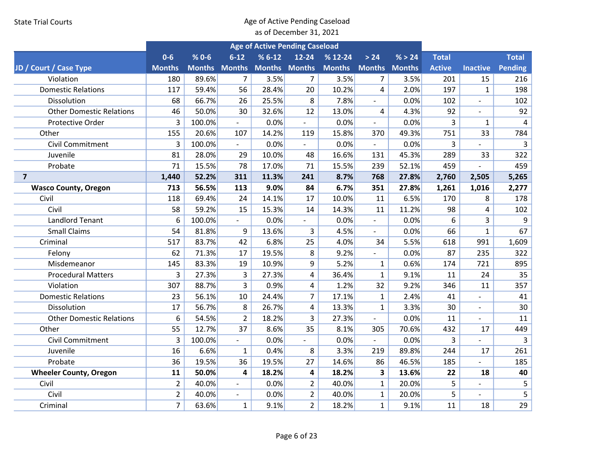|                                 |                |           |                          | <b>Age of Active Pending Caseload</b> |                          |                             |                          |        |               |                          |                |
|---------------------------------|----------------|-----------|--------------------------|---------------------------------------|--------------------------|-----------------------------|--------------------------|--------|---------------|--------------------------|----------------|
|                                 | $0-6$          | $% 0 - 6$ | $6 - 12$                 | $% 6-12$                              | $12 - 24$                | $% 12-24$                   | > 24                     | % > 24 | <b>Total</b>  |                          | <b>Total</b>   |
| JD / Court / Case Type          | <b>Months</b>  |           |                          | Months Months Months Months           |                          | <b>Months Months Months</b> |                          |        | <b>Active</b> | <b>Inactive</b>          | Pending        |
| Violation                       | 180            | 89.6%     | $\overline{7}$           | 3.5%                                  | $\overline{7}$           | 3.5%                        | $\overline{7}$           | 3.5%   | 201           | 15                       | 216            |
| <b>Domestic Relations</b>       | 117            | 59.4%     | 56                       | 28.4%                                 | 20                       | 10.2%                       | 4                        | 2.0%   | 197           | $\mathbf{1}$             | 198            |
| Dissolution                     | 68             | 66.7%     | 26                       | 25.5%                                 | 8                        | 7.8%                        | $\overline{\phantom{a}}$ | 0.0%   | 102           | $\overline{\phantom{0}}$ | 102            |
| <b>Other Domestic Relations</b> | 46             | 50.0%     | 30                       | 32.6%                                 | 12                       | 13.0%                       | 4                        | 4.3%   | 92            | $\overline{a}$           | 92             |
| <b>Protective Order</b>         | 3              | 100.0%    |                          | 0.0%                                  | $\overline{a}$           | 0.0%                        |                          | 0.0%   | 3             | $\mathbf{1}$             | $\overline{4}$ |
| Other                           | 155            | 20.6%     | 107                      | 14.2%                                 | 119                      | 15.8%                       | 370                      | 49.3%  | 751           | 33                       | 784            |
| <b>Civil Commitment</b>         | 3              | 100.0%    |                          | 0.0%                                  |                          | 0.0%                        | $\blacksquare$           | 0.0%   | 3             |                          | 3              |
| Juvenile                        | 81             | 28.0%     | 29                       | 10.0%                                 | 48                       | 16.6%                       | 131                      | 45.3%  | 289           | 33                       | 322            |
| Probate                         | 71             | 15.5%     | 78                       | 17.0%                                 | 71                       | 15.5%                       | 239                      | 52.1%  | 459           |                          | 459            |
| $\overline{7}$                  | 1,440          | 52.2%     | 311                      | 11.3%                                 | 241                      | 8.7%                        | 768                      | 27.8%  | 2,760         | 2,505                    | 5,265          |
| <b>Wasco County, Oregon</b>     | 713            | 56.5%     | 113                      | 9.0%                                  | 84                       | 6.7%                        | 351                      | 27.8%  | 1,261         | 1,016                    | 2,277          |
| Civil                           | 118            | 69.4%     | 24                       | 14.1%                                 | 17                       | 10.0%                       | 11                       | 6.5%   | 170           | 8                        | 178            |
| Civil                           | 58             | 59.2%     | 15                       | 15.3%                                 | 14                       | 14.3%                       | 11                       | 11.2%  | 98            | 4                        | 102            |
| <b>Landlord Tenant</b>          | 6              | 100.0%    | $\sim$                   | 0.0%                                  | $\overline{\phantom{a}}$ | 0.0%                        | $\overline{\phantom{a}}$ | 0.0%   | 6             | 3                        | 9              |
| <b>Small Claims</b>             | 54             | 81.8%     | 9                        | 13.6%                                 | 3                        | 4.5%                        |                          | 0.0%   | 66            | $\mathbf{1}$             | 67             |
| Criminal                        | 517            | 83.7%     | 42                       | 6.8%                                  | 25                       | 4.0%                        | 34                       | 5.5%   | 618           | 991                      | 1,609          |
| Felony                          | 62             | 71.3%     | 17                       | 19.5%                                 | 8                        | 9.2%                        |                          | 0.0%   | 87            | 235                      | 322            |
| Misdemeanor                     | 145            | 83.3%     | 19                       | 10.9%                                 | 9                        | 5.2%                        | $\mathbf{1}$             | 0.6%   | 174           | 721                      | 895            |
| <b>Procedural Matters</b>       | 3              | 27.3%     | 3                        | 27.3%                                 | 4                        | 36.4%                       | $\mathbf{1}$             | 9.1%   | 11            | 24                       | 35             |
| Violation                       | 307            | 88.7%     | 3                        | 0.9%                                  | 4                        | 1.2%                        | 32                       | 9.2%   | 346           | 11                       | 357            |
| <b>Domestic Relations</b>       | 23             | 56.1%     | 10                       | 24.4%                                 | $\overline{7}$           | 17.1%                       | $\mathbf{1}$             | 2.4%   | 41            |                          | 41             |
| Dissolution                     | 17             | 56.7%     | 8                        | 26.7%                                 | 4                        | 13.3%                       | $\mathbf{1}$             | 3.3%   | 30            | $\overline{a}$           | 30             |
| <b>Other Domestic Relations</b> | 6              | 54.5%     | $\overline{2}$           | 18.2%                                 | $\overline{3}$           | 27.3%                       | $\blacksquare$           | 0.0%   | 11            |                          | 11             |
| Other                           | 55             | 12.7%     | 37                       | 8.6%                                  | 35                       | 8.1%                        | 305                      | 70.6%  | 432           | 17                       | 449            |
| Civil Commitment                | 3              | 100.0%    | $\sim$                   | 0.0%                                  | $\overline{\phantom{a}}$ | 0.0%                        | $\overline{\phantom{a}}$ | 0.0%   | 3             | $\overline{a}$           | 3              |
| Juvenile                        | 16             | 6.6%      | $\mathbf{1}$             | 0.4%                                  | 8                        | 3.3%                        | 219                      | 89.8%  | 244           | 17                       | 261            |
| Probate                         | 36             | 19.5%     | 36                       | 19.5%                                 | 27                       | 14.6%                       | 86                       | 46.5%  | 185           |                          | 185            |
| <b>Wheeler County, Oregon</b>   | 11             | 50.0%     | 4                        | 18.2%                                 | 4                        | 18.2%                       | 3                        | 13.6%  | 22            | 18                       | 40             |
| Civil                           | $\overline{2}$ | 40.0%     |                          | 0.0%                                  | $\overline{2}$           | 40.0%                       | $\mathbf{1}$             | 20.0%  | 5             |                          | 5              |
| Civil                           | $\overline{2}$ | 40.0%     | $\overline{\phantom{a}}$ | 0.0%                                  | $\overline{2}$           | 40.0%                       | $\mathbf{1}$             | 20.0%  | 5             | $\overline{\phantom{a}}$ | 5              |
| Criminal                        | $\overline{7}$ | 63.6%     | $\mathbf{1}$             | 9.1%                                  | $\overline{2}$           | 18.2%                       | $\mathbf{1}$             | 9.1%   | 11            | 18                       | 29             |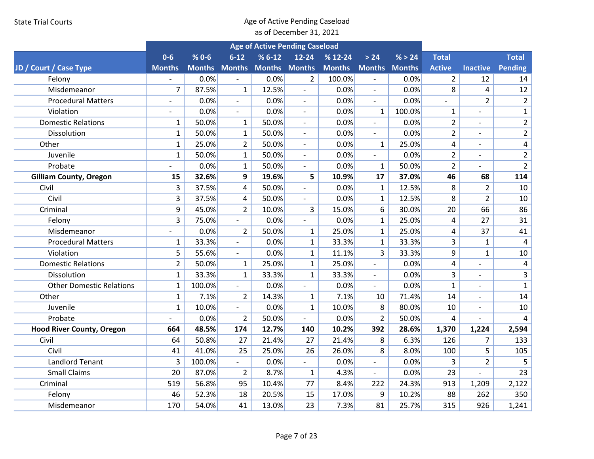|                                  |                          |           |                          |                      | <b>Age of Active Pending Caseload</b> |               |                          |        |                         |                              |                |
|----------------------------------|--------------------------|-----------|--------------------------|----------------------|---------------------------------------|---------------|--------------------------|--------|-------------------------|------------------------------|----------------|
|                                  | $0 - 6$                  | $% 0 - 6$ | $6 - 12$                 | $%6-12$              | $12 - 24$                             | $% 12-24$     | > 24                     | % > 24 | <b>Total</b>            |                              | <b>Total</b>   |
| JD / Court / Case Type           | <b>Months</b>            |           | <b>Months Months</b>     | <b>Months Months</b> |                                       | <b>Months</b> | <b>Months Months</b>     |        | <b>Active</b>           | <b>Inactive</b>              | <b>Pending</b> |
| Felony                           |                          | 0.0%      |                          | 0.0%                 | $\overline{2}$                        | 100.0%        |                          | 0.0%   | $\overline{2}$          | 12                           | 14             |
| Misdemeanor                      | $\overline{7}$           | 87.5%     | $\mathbf{1}$             | 12.5%                | $\overline{\phantom{a}}$              | 0.0%          | $\overline{\phantom{a}}$ | 0.0%   | 8                       | 4                            | 12             |
| <b>Procedural Matters</b>        | $\overline{\phantom{0}}$ | 0.0%      | $\sim$                   | 0.0%                 | $\blacksquare$                        | 0.0%          | $\mathbf{r}$             | 0.0%   | $\overline{a}$          | $\overline{2}$               | $\overline{2}$ |
| Violation                        |                          | 0.0%      |                          | 0.0%                 | $\overline{\phantom{a}}$              | 0.0%          | $\mathbf{1}$             | 100.0% | $\mathbf 1$             | $\overline{a}$               | $\mathbf 1$    |
| <b>Domestic Relations</b>        | $\mathbf{1}$             | 50.0%     | $\mathbf{1}$             | 50.0%                | $\overline{\phantom{a}}$              | 0.0%          | $\overline{\phantom{a}}$ | 0.0%   | $\overline{2}$          | $\overline{a}$               | $\overline{2}$ |
| Dissolution                      | $\mathbf{1}$             | 50.0%     | $\mathbf{1}$             | 50.0%                | $\overline{a}$                        | 0.0%          | $\overline{\phantom{a}}$ | 0.0%   | $\overline{2}$          | $\overline{a}$               | $\overline{2}$ |
| Other                            | $\mathbf{1}$             | 25.0%     | $\overline{2}$           | 50.0%                | $\overline{\phantom{a}}$              | 0.0%          | $\mathbf{1}$             | 25.0%  | $\overline{\mathbf{4}}$ | $\overline{a}$               | $\sqrt{4}$     |
| Juvenile                         | $\mathbf{1}$             | 50.0%     | $\mathbf{1}$             | 50.0%                | $\overline{\phantom{a}}$              | 0.0%          | $\overline{\phantom{a}}$ | 0.0%   | $\overline{2}$          | $\overline{a}$               | $\overline{2}$ |
| Probate                          |                          | 0.0%      | $\mathbf{1}$             | 50.0%                | $\blacksquare$                        | 0.0%          | $\mathbf{1}$             | 50.0%  | $\overline{2}$          |                              | $\overline{2}$ |
| <b>Gilliam County, Oregon</b>    | 15                       | 32.6%     | 9                        | 19.6%                | 5                                     | 10.9%         | 17                       | 37.0%  | 46                      | 68                           | 114            |
| Civil                            | 3                        | 37.5%     | 4                        | 50.0%                | $\overline{\phantom{a}}$              | 0.0%          | $\mathbf{1}$             | 12.5%  | 8                       | $\overline{2}$               | 10             |
| Civil                            | 3                        | 37.5%     | 4                        | 50.0%                |                                       | 0.0%          | $\mathbf{1}$             | 12.5%  | 8                       | $\overline{2}$               | 10             |
| Criminal                         | 9                        | 45.0%     | $\overline{2}$           | 10.0%                | 3                                     | 15.0%         | 6                        | 30.0%  | 20                      | 66                           | 86             |
| Felony                           | 3                        | 75.0%     | $\overline{\phantom{a}}$ | 0.0%                 | $\overline{\phantom{a}}$              | 0.0%          | $\mathbf{1}$             | 25.0%  | 4                       | 27                           | 31             |
| Misdemeanor                      |                          | 0.0%      | $\overline{2}$           | 50.0%                | $\mathbf{1}$                          | 25.0%         | $\mathbf{1}$             | 25.0%  | 4                       | 37                           | 41             |
| <b>Procedural Matters</b>        | $\mathbf{1}$             | 33.3%     | $\overline{\phantom{a}}$ | 0.0%                 | $\mathbf{1}$                          | 33.3%         | $\mathbf{1}$             | 33.3%  | 3                       | $\mathbf{1}$                 | $\overline{4}$ |
| Violation                        | 5                        | 55.6%     | $\overline{a}$           | 0.0%                 | $\mathbf{1}$                          | 11.1%         | 3                        | 33.3%  | 9                       | $\mathbf{1}$                 | 10             |
| <b>Domestic Relations</b>        | $\overline{2}$           | 50.0%     | $\mathbf{1}$             | 25.0%                | $\mathbf{1}$                          | 25.0%         | $\overline{\phantom{a}}$ | 0.0%   | 4                       | $\qquad \qquad \blacksquare$ | $\overline{4}$ |
| Dissolution                      | $\mathbf{1}$             | 33.3%     | $\mathbf{1}$             | 33.3%                | $\mathbf{1}$                          | 33.3%         | $\overline{\phantom{a}}$ | 0.0%   | 3                       | $\overline{a}$               | $\overline{3}$ |
| <b>Other Domestic Relations</b>  | $\mathbf{1}$             | 100.0%    | $\overline{a}$           | 0.0%                 | $\overline{\phantom{a}}$              | 0.0%          | $\overline{\phantom{a}}$ | 0.0%   | $\mathbf{1}$            |                              | $\mathbf{1}$   |
| Other                            | $\mathbf{1}$             | 7.1%      | $\overline{2}$           | 14.3%                | 1                                     | 7.1%          | 10                       | 71.4%  | 14                      |                              | 14             |
| Juvenile                         | $\mathbf{1}$             | 10.0%     | $\blacksquare$           | 0.0%                 | $\mathbf{1}$                          | 10.0%         | 8                        | 80.0%  | 10                      | $\overline{a}$               | 10             |
| Probate                          |                          | 0.0%      | $\overline{2}$           | 50.0%                |                                       | 0.0%          | $\overline{2}$           | 50.0%  | 4                       |                              | 4              |
| <b>Hood River County, Oregon</b> | 664                      | 48.5%     | 174                      | 12.7%                | 140                                   | 10.2%         | 392                      | 28.6%  | 1,370                   | 1,224                        | 2,594          |
| Civil                            | 64                       | 50.8%     | 27                       | 21.4%                | 27                                    | 21.4%         | 8                        | 6.3%   | 126                     | $\overline{7}$               | 133            |
| Civil                            | 41                       | 41.0%     | 25                       | 25.0%                | 26                                    | 26.0%         | 8                        | 8.0%   | 100                     | 5                            | 105            |
| <b>Landlord Tenant</b>           | 3                        | 100.0%    |                          | 0.0%                 | $\overline{\phantom{a}}$              | 0.0%          | $\overline{\phantom{a}}$ | 0.0%   | 3                       | $\overline{2}$               | 5              |
| <b>Small Claims</b>              | 20                       | 87.0%     | $\overline{2}$           | 8.7%                 | $\mathbf{1}$                          | 4.3%          | $\overline{\phantom{a}}$ | 0.0%   | 23                      |                              | 23             |
| Criminal                         | 519                      | 56.8%     | 95                       | 10.4%                | 77                                    | 8.4%          | 222                      | 24.3%  | 913                     | 1,209                        | 2,122          |
| Felony                           | 46                       | 52.3%     | 18                       | 20.5%                | 15                                    | 17.0%         | 9                        | 10.2%  | 88                      | 262                          | 350            |
| Misdemeanor                      | 170                      | 54.0%     | 41                       | 13.0%                | 23                                    | 7.3%          | 81                       | 25.7%  | 315                     | 926                          | 1,241          |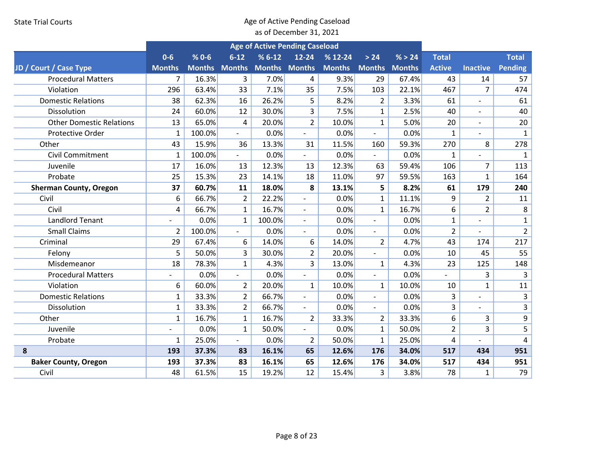|                                 |                |        |                          | <b>Age of Active Pending Caseload</b> |                          |               |                          |               |                |                          |                |
|---------------------------------|----------------|--------|--------------------------|---------------------------------------|--------------------------|---------------|--------------------------|---------------|----------------|--------------------------|----------------|
|                                 | $0-6$          | $%0-6$ | $6 - 12$                 | $% 6-12$                              | $12 - 24$                | $% 12-24$     | > 24                     | % > 24        | <b>Total</b>   |                          | <b>Total</b>   |
| JD / Court / Case Type          | <b>Months</b>  |        | <b>Months Months</b>     | <b>Months Months</b>                  |                          | <b>Months</b> | <b>Months</b>            | <b>Months</b> | <b>Active</b>  | <b>Inactive</b>          | Pending        |
| <b>Procedural Matters</b>       | $\overline{7}$ | 16.3%  | 3                        | 7.0%                                  | 4                        | 9.3%          | 29                       | 67.4%         | 43             | 14                       | 57             |
| Violation                       | 296            | 63.4%  | 33                       | 7.1%                                  | 35                       | 7.5%          | 103                      | 22.1%         | 467            | $\overline{7}$           | 474            |
| <b>Domestic Relations</b>       | 38             | 62.3%  | 16                       | 26.2%                                 | 5                        | 8.2%          | $\overline{2}$           | 3.3%          | 61             | $\overline{\phantom{a}}$ | 61             |
| Dissolution                     | 24             | 60.0%  | 12                       | 30.0%                                 | 3                        | 7.5%          | $\mathbf{1}$             | 2.5%          | 40             |                          | 40             |
| <b>Other Domestic Relations</b> | 13             | 65.0%  | 4                        | 20.0%                                 | $\overline{2}$           | 10.0%         | $\mathbf{1}$             | 5.0%          | 20             | $\overline{\phantom{a}}$ | 20             |
| <b>Protective Order</b>         | 1              | 100.0% |                          | 0.0%                                  |                          | 0.0%          | $\overline{\phantom{a}}$ | 0.0%          | $\mathbf{1}$   |                          | $\mathbf{1}$   |
| Other                           | 43             | 15.9%  | 36                       | 13.3%                                 | 31                       | 11.5%         | 160                      | 59.3%         | 270            | 8                        | 278            |
| <b>Civil Commitment</b>         | $\mathbf{1}$   | 100.0% | $\overline{a}$           | 0.0%                                  | $\blacksquare$           | 0.0%          | $\blacksquare$           | 0.0%          | $\mathbf{1}$   |                          | $\mathbf{1}$   |
| Juvenile                        | 17             | 16.0%  | 13                       | 12.3%                                 | 13                       | 12.3%         | 63                       | 59.4%         | 106            | $\overline{7}$           | 113            |
| Probate                         | 25             | 15.3%  | 23                       | 14.1%                                 | 18                       | 11.0%         | 97                       | 59.5%         | 163            | $\mathbf{1}$             | 164            |
| <b>Sherman County, Oregon</b>   | 37             | 60.7%  | 11                       | 18.0%                                 | 8                        | 13.1%         | 5                        | 8.2%          | 61             | 179                      | 240            |
| Civil                           | 6              | 66.7%  | $\overline{2}$           | 22.2%                                 | $\overline{\phantom{a}}$ | 0.0%          | $\mathbf{1}$             | 11.1%         | 9              | $\overline{2}$           | 11             |
| Civil                           | 4              | 66.7%  | $\mathbf{1}$             | 16.7%                                 | $\overline{\phantom{a}}$ | 0.0%          | $\mathbf{1}$             | 16.7%         | 6              | $\overline{2}$           | 8              |
| <b>Landlord Tenant</b>          |                | 0.0%   | $\mathbf{1}$             | 100.0%                                |                          | 0.0%          | $\overline{\phantom{a}}$ | 0.0%          | $\mathbf{1}$   |                          | $\mathbf{1}$   |
| <b>Small Claims</b>             | $\overline{2}$ | 100.0% | $\sim$                   | 0.0%                                  | $\blacksquare$           | 0.0%          | $\sim$                   | 0.0%          | $\overline{2}$ | $\overline{a}$           | $\overline{2}$ |
| Criminal                        | 29             | 67.4%  | 6                        | 14.0%                                 | 6                        | 14.0%         | $\overline{2}$           | 4.7%          | 43             | 174                      | 217            |
| Felony                          | 5              | 50.0%  | $\overline{3}$           | 30.0%                                 | $\overline{2}$           | 20.0%         | $\overline{\phantom{a}}$ | 0.0%          | 10             | 45                       | 55             |
| Misdemeanor                     | 18             | 78.3%  | $\mathbf{1}$             | 4.3%                                  | 3                        | 13.0%         | $\mathbf{1}$             | 4.3%          | 23             | 125                      | 148            |
| <b>Procedural Matters</b>       |                | 0.0%   |                          | 0.0%                                  | $\sim$                   | 0.0%          | $\blacksquare$           | 0.0%          |                | 3                        | 3              |
| Violation                       | 6              | 60.0%  | $\overline{2}$           | 20.0%                                 | $\mathbf{1}$             | 10.0%         | $\mathbf{1}$             | 10.0%         | 10             | $\mathbf{1}$             | 11             |
| <b>Domestic Relations</b>       | $\mathbf{1}$   | 33.3%  | $\overline{2}$           | 66.7%                                 |                          | 0.0%          | $\blacksquare$           | 0.0%          | 3              | $\overline{\phantom{a}}$ | 3              |
| Dissolution                     | $\mathbf{1}$   | 33.3%  | $\overline{2}$           | 66.7%                                 | $\overline{\phantom{a}}$ | 0.0%          | $\overline{\phantom{a}}$ | 0.0%          | 3              | $\overline{\phantom{a}}$ | 3              |
| Other                           | $\mathbf{1}$   | 16.7%  | $\mathbf{1}$             | 16.7%                                 | $\overline{2}$           | 33.3%         | $\overline{2}$           | 33.3%         | 6              | 3                        | 9              |
| Juvenile                        |                | 0.0%   | $\mathbf{1}$             | 50.0%                                 | $\overline{\phantom{a}}$ | 0.0%          | $\mathbf{1}$             | 50.0%         | $\overline{2}$ | 3                        | 5              |
| Probate                         | $\mathbf{1}$   | 25.0%  | $\overline{\phantom{a}}$ | 0.0%                                  | $\overline{2}$           | 50.0%         | $\mathbf{1}$             | 25.0%         | 4              | $\overline{a}$           | 4              |
| 8                               | 193            | 37.3%  | 83                       | 16.1%                                 | 65                       | 12.6%         | 176                      | 34.0%         | 517            | 434                      | 951            |
| <b>Baker County, Oregon</b>     | 193            | 37.3%  | 83                       | 16.1%                                 | 65                       | 12.6%         | 176                      | 34.0%         | 517            | 434                      | 951            |
| Civil                           | 48             | 61.5%  | 15                       | 19.2%                                 | 12                       | 15.4%         | 3                        | 3.8%          | 78             | $\mathbf{1}$             | 79             |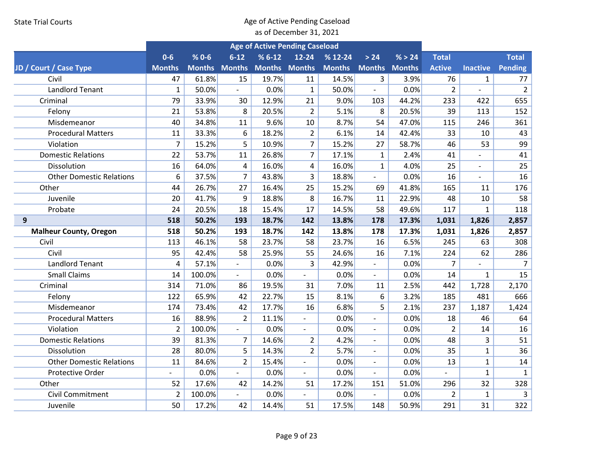|                                 |                |                      |                          | <b>Age of Active Pending Caseload</b> |                          |               |                          |               |                |                          |                |
|---------------------------------|----------------|----------------------|--------------------------|---------------------------------------|--------------------------|---------------|--------------------------|---------------|----------------|--------------------------|----------------|
|                                 | $0-6$          | $% 0 - 6$            | $6 - 12$                 | $% 6-12$                              | $12 - 24$                | $% 12-24$     | $>24$                    | % > 24        | <b>Total</b>   |                          | <b>Total</b>   |
| JD / Court / Case Type          | <b>Months</b>  | <b>Months Months</b> |                          | <b>Months Months</b>                  |                          | <b>Months</b> | <b>Months</b>            | <b>Months</b> | <b>Active</b>  | <b>Inactive</b>          | Pending        |
| Civil                           | 47             | 61.8%                | 15                       | 19.7%                                 | 11                       | 14.5%         | 3                        | 3.9%          | 76             | $\mathbf{1}$             | 77             |
| <b>Landlord Tenant</b>          | $\mathbf{1}$   | 50.0%                | $\sim$                   | 0.0%                                  | $\mathbf{1}$             | 50.0%         | $\overline{\phantom{a}}$ | 0.0%          | $\overline{2}$ | $\blacksquare$           | $\overline{2}$ |
| Criminal                        | 79             | 33.9%                | 30                       | 12.9%                                 | 21                       | 9.0%          | 103                      | 44.2%         | 233            | 422                      | 655            |
| Felony                          | 21             | 53.8%                | 8                        | 20.5%                                 | $\overline{2}$           | 5.1%          | 8                        | 20.5%         | 39             | 113                      | 152            |
| Misdemeanor                     | 40             | 34.8%                | 11                       | 9.6%                                  | 10                       | 8.7%          | 54                       | 47.0%         | 115            | 246                      | 361            |
| <b>Procedural Matters</b>       | 11             | 33.3%                | 6                        | 18.2%                                 | $\overline{2}$           | 6.1%          | 14                       | 42.4%         | 33             | 10                       | 43             |
| Violation                       | $\overline{7}$ | 15.2%                | 5                        | 10.9%                                 | $\overline{7}$           | 15.2%         | 27                       | 58.7%         | 46             | 53                       | 99             |
| <b>Domestic Relations</b>       | 22             | 53.7%                | 11                       | 26.8%                                 | $\overline{7}$           | 17.1%         | $\mathbf{1}$             | 2.4%          | 41             | $\overline{\phantom{0}}$ | 41             |
| Dissolution                     | 16             | 64.0%                | 4                        | 16.0%                                 | 4                        | 16.0%         | $\mathbf{1}$             | 4.0%          | 25             |                          | 25             |
| <b>Other Domestic Relations</b> | 6              | 37.5%                | $\overline{7}$           | 43.8%                                 | 3                        | 18.8%         |                          | 0.0%          | 16             |                          | 16             |
| Other                           | 44             | 26.7%                | 27                       | 16.4%                                 | 25                       | 15.2%         | 69                       | 41.8%         | 165            | 11                       | 176            |
| Juvenile                        | 20             | 41.7%                | 9                        | 18.8%                                 | 8                        | 16.7%         | 11                       | 22.9%         | 48             | 10                       | 58             |
| Probate                         | 24             | 20.5%                | 18                       | 15.4%                                 | 17                       | 14.5%         | 58                       | 49.6%         | 117            | 1                        | 118            |
| 9                               | 518            | 50.2%                | 193                      | 18.7%                                 | 142                      | 13.8%         | 178                      | 17.3%         | 1,031          | 1,826                    | 2,857          |
| <b>Malheur County, Oregon</b>   | 518            | 50.2%                | 193                      | 18.7%                                 | 142                      | 13.8%         | 178                      | 17.3%         | 1,031          | 1,826                    | 2,857          |
| Civil                           | 113            | 46.1%                | 58                       | 23.7%                                 | 58                       | 23.7%         | 16                       | 6.5%          | 245            | 63                       | 308            |
| Civil                           | 95             | 42.4%                | 58                       | 25.9%                                 | 55                       | 24.6%         | 16                       | 7.1%          | 224            | 62                       | 286            |
| <b>Landlord Tenant</b>          | 4              | 57.1%                |                          | 0.0%                                  | 3                        | 42.9%         |                          | 0.0%          | $\overline{7}$ |                          | $\overline{7}$ |
| <b>Small Claims</b>             | 14             | 100.0%               | $\overline{\phantom{0}}$ | 0.0%                                  | $\overline{\phantom{a}}$ | 0.0%          | $\blacksquare$           | 0.0%          | 14             | $\mathbf{1}$             | 15             |
| Criminal                        | 314            | 71.0%                | 86                       | 19.5%                                 | 31                       | 7.0%          | 11                       | 2.5%          | 442            | 1,728                    | 2,170          |
| Felony                          | 122            | 65.9%                | 42                       | 22.7%                                 | 15                       | 8.1%          | 6                        | 3.2%          | 185            | 481                      | 666            |
| Misdemeanor                     | 174            | 73.4%                | 42                       | 17.7%                                 | 16                       | 6.8%          | 5                        | 2.1%          | 237            | 1,187                    | 1,424          |
| <b>Procedural Matters</b>       | 16             | 88.9%                | $\overline{2}$           | 11.1%                                 |                          | 0.0%          | $\blacksquare$           | 0.0%          | 18             | 46                       | 64             |
| Violation                       | $\overline{2}$ | 100.0%               |                          | 0.0%                                  |                          | 0.0%          | $\overline{\phantom{a}}$ | 0.0%          | $\overline{2}$ | 14                       | 16             |
| <b>Domestic Relations</b>       | 39             | 81.3%                | $\overline{7}$           | 14.6%                                 | $\overline{2}$           | 4.2%          | $\overline{\phantom{a}}$ | 0.0%          | 48             | 3                        | 51             |
| Dissolution                     | 28             | 80.0%                | 5                        | 14.3%                                 | $\overline{2}$           | 5.7%          | $\mathbf{r}$             | 0.0%          | 35             | $\mathbf{1}$             | 36             |
| <b>Other Domestic Relations</b> | 11             | 84.6%                | $\overline{2}$           | 15.4%                                 | $\frac{1}{2}$            | 0.0%          | $\overline{\phantom{a}}$ | 0.0%          | 13             | $\mathbf{1}$             | 14             |
| Protective Order                |                | 0.0%                 | $\overline{\phantom{0}}$ | 0.0%                                  | $\overline{\phantom{a}}$ | 0.0%          | $\overline{\phantom{a}}$ | 0.0%          |                | $\mathbf{1}$             | $\mathbf{1}$   |
| Other                           | 52             | 17.6%                | 42                       | 14.2%                                 | 51                       | 17.2%         | 151                      | 51.0%         | 296            | 32                       | 328            |
| <b>Civil Commitment</b>         | $\overline{2}$ | 100.0%               |                          | 0.0%                                  |                          | 0.0%          |                          | 0.0%          | $\overline{2}$ | $\mathbf{1}$             | 3              |
| Juvenile                        | 50             | 17.2%                | 42                       | 14.4%                                 | 51                       | 17.5%         | 148                      | 50.9%         | 291            | 31                       | 322            |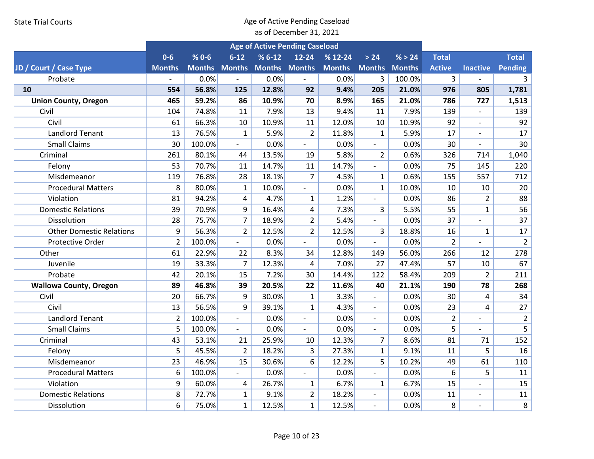|                                 |                |                      |                          | <b>Age of Active Pending Caseload</b> |                          |               |                          |               |                |                          |                |
|---------------------------------|----------------|----------------------|--------------------------|---------------------------------------|--------------------------|---------------|--------------------------|---------------|----------------|--------------------------|----------------|
|                                 | $0-6$          | $% 0 - 6$            | $6 - 12$                 | $%6-12$                               | $12 - 24$                | $% 12-24$     | > 24                     | % > 24        | <b>Total</b>   |                          | <b>Total</b>   |
| JD / Court / Case Type          | <b>Months</b>  | <b>Months Months</b> |                          | <b>Months Months</b>                  |                          | <b>Months</b> | <b>Months</b>            | <b>Months</b> | <b>Active</b>  | <b>Inactive</b>          | <b>Pending</b> |
| Probate                         |                | 0.0%                 |                          | 0.0%                                  |                          | 0.0%          | 3                        | 100.0%        | 3              |                          | 3              |
| 10                              | 554            | 56.8%                | 125                      | 12.8%                                 | 92                       | 9.4%          | 205                      | 21.0%         | 976            | 805                      | 1,781          |
| <b>Union County, Oregon</b>     | 465            | 59.2%                | 86                       | 10.9%                                 | 70                       | 8.9%          | 165                      | 21.0%         | 786            | 727                      | 1,513          |
| Civil                           | 104            | 74.8%                | 11                       | 7.9%                                  | 13                       | 9.4%          | 11                       | 7.9%          | 139            | $\mathbf{r}$             | 139            |
| Civil                           | 61             | 66.3%                | 10                       | 10.9%                                 | 11                       | 12.0%         | 10                       | 10.9%         | 92             | $\overline{\phantom{0}}$ | 92             |
| <b>Landlord Tenant</b>          | 13             | 76.5%                | $\mathbf{1}$             | 5.9%                                  | $\overline{2}$           | 11.8%         | $\mathbf{1}$             | 5.9%          | 17             | $\overline{a}$           | 17             |
| <b>Small Claims</b>             | 30             | 100.0%               | $\overline{\phantom{a}}$ | 0.0%                                  | $\frac{1}{2}$            | 0.0%          | $\overline{\phantom{a}}$ | 0.0%          | 30             |                          | 30             |
| Criminal                        | 261            | 80.1%                | 44                       | 13.5%                                 | 19                       | 5.8%          | $\overline{2}$           | 0.6%          | 326            | 714                      | 1,040          |
| Felony                          | 53             | 70.7%                | 11                       | 14.7%                                 | 11                       | 14.7%         | $\blacksquare$           | 0.0%          | 75             | 145                      | 220            |
| Misdemeanor                     | 119            | 76.8%                | 28                       | 18.1%                                 | $\overline{7}$           | 4.5%          | $\mathbf{1}$             | 0.6%          | 155            | 557                      | 712            |
| <b>Procedural Matters</b>       | 8              | 80.0%                | $\mathbf{1}$             | 10.0%                                 | $\overline{\phantom{a}}$ | 0.0%          | $\mathbf{1}$             | 10.0%         | 10             | 10                       | 20             |
| Violation                       | 81             | 94.2%                | $\overline{4}$           | 4.7%                                  | $\mathbf{1}$             | 1.2%          | $\blacksquare$           | 0.0%          | 86             | $\overline{2}$           | 88             |
| <b>Domestic Relations</b>       | 39             | 70.9%                | 9                        | 16.4%                                 | 4                        | 7.3%          | 3                        | 5.5%          | 55             | $\mathbf{1}$             | 56             |
| Dissolution                     | 28             | 75.7%                | $\overline{7}$           | 18.9%                                 | $\overline{2}$           | 5.4%          | $\overline{\phantom{a}}$ | 0.0%          | 37             | $\overline{a}$           | 37             |
| <b>Other Domestic Relations</b> | 9              | 56.3%                | $\overline{2}$           | 12.5%                                 | $\overline{2}$           | 12.5%         | 3                        | 18.8%         | 16             | $\mathbf{1}$             | 17             |
| <b>Protective Order</b>         | $\overline{2}$ | 100.0%               | $\mathbf{r}$             | 0.0%                                  | $\overline{a}$           | 0.0%          | $\overline{a}$           | 0.0%          | $\overline{2}$ |                          | $\overline{2}$ |
| Other                           | 61             | 22.9%                | 22                       | 8.3%                                  | 34                       | 12.8%         | 149                      | 56.0%         | 266            | 12                       | 278            |
| Juvenile                        | 19             | 33.3%                | $\overline{7}$           | 12.3%                                 | 4                        | 7.0%          | 27                       | 47.4%         | 57             | 10                       | 67             |
| Probate                         | 42             | 20.1%                | 15                       | 7.2%                                  | 30                       | 14.4%         | 122                      | 58.4%         | 209            | $\overline{2}$           | 211            |
| <b>Wallowa County, Oregon</b>   | 89             | 46.8%                | 39                       | 20.5%                                 | 22                       | 11.6%         | 40                       | 21.1%         | 190            | 78                       | 268            |
| Civil                           | 20             | 66.7%                | 9                        | 30.0%                                 | $\mathbf{1}$             | 3.3%          | $\blacksquare$           | 0.0%          | 30             | 4                        | 34             |
| Civil                           | 13             | 56.5%                | 9                        | 39.1%                                 | $\mathbf{1}$             | 4.3%          | $\blacksquare$           | 0.0%          | 23             | 4                        | 27             |
| <b>Landlord Tenant</b>          | $\overline{2}$ | 100.0%               | $\overline{a}$           | 0.0%                                  | $\overline{\phantom{a}}$ | 0.0%          | $\overline{a}$           | 0.0%          | $\overline{2}$ |                          | $\overline{2}$ |
| <b>Small Claims</b>             | 5              | 100.0%               |                          | 0.0%                                  |                          | 0.0%          |                          | 0.0%          | 5              |                          | 5              |
| Criminal                        | 43             | 53.1%                | 21                       | 25.9%                                 | 10                       | 12.3%         | $\overline{7}$           | 8.6%          | 81             | 71                       | 152            |
| Felony                          | 5              | 45.5%                | $\overline{2}$           | 18.2%                                 | 3                        | 27.3%         | $\mathbf{1}$             | 9.1%          | 11             | 5                        | 16             |
| Misdemeanor                     | 23             | 46.9%                | 15                       | 30.6%                                 | 6                        | 12.2%         | 5                        | 10.2%         | 49             | 61                       | 110            |
| <b>Procedural Matters</b>       | 6              | 100.0%               |                          | 0.0%                                  | $\overline{\phantom{m}}$ | 0.0%          | $\blacksquare$           | 0.0%          | 6              | 5                        | 11             |
| Violation                       | 9              | 60.0%                | 4                        | 26.7%                                 | $\mathbf{1}$             | 6.7%          | $\mathbf{1}$             | 6.7%          | 15             |                          | 15             |
| <b>Domestic Relations</b>       | 8              | 72.7%                | $\mathbf{1}$             | 9.1%                                  | $\overline{2}$           | 18.2%         | $\overline{\phantom{a}}$ | 0.0%          | 11             | $\overline{a}$           | 11             |
| Dissolution                     | 6              | 75.0%                | $\mathbf{1}$             | 12.5%                                 | $\mathbf{1}$             | 12.5%         | $\overline{\phantom{a}}$ | 0.0%          | 8              | $\overline{a}$           | 8              |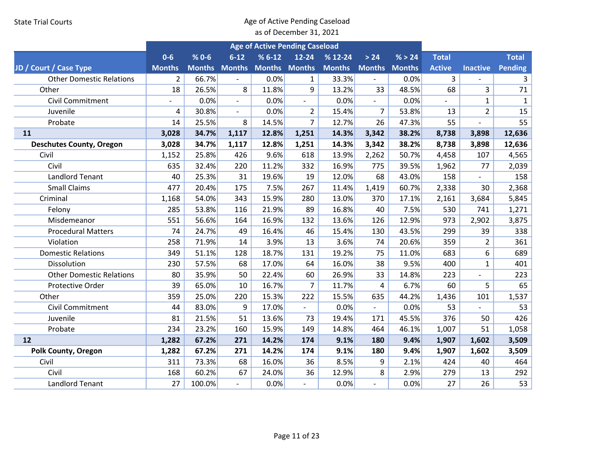|                                 |                          |               |                          | <b>Age of Active Pending Caseload</b> |                          |               |                          |               |               |                 |              |
|---------------------------------|--------------------------|---------------|--------------------------|---------------------------------------|--------------------------|---------------|--------------------------|---------------|---------------|-----------------|--------------|
|                                 | $0-6$                    | $% 0 - 6$     | $6 - 12$                 | $% 6-12$                              | 12-24                    | $% 12-24$     | $>24$                    | % > 24        | <b>Total</b>  |                 | <b>Total</b> |
| JD / Court / Case Type          | <b>Months</b>            | <b>Months</b> | <b>Months</b>            | <b>Months Months</b>                  |                          | <b>Months</b> | <b>Months</b>            | <b>Months</b> | <b>Active</b> | <b>Inactive</b> | Pending      |
| <b>Other Domestic Relations</b> | $\overline{2}$           | 66.7%         | $\mathbf{r}$             | 0.0%                                  | $\mathbf{1}$             | 33.3%         | $\blacksquare$           | 0.0%          | 3             |                 | 3            |
| Other                           | 18                       | 26.5%         | 8                        | 11.8%                                 | 9                        | 13.2%         | 33                       | 48.5%         | 68            | 3               | 71           |
| <b>Civil Commitment</b>         | $\overline{\phantom{0}}$ | 0.0%          | $\sim$                   | 0.0%                                  | $\blacksquare$           | 0.0%          | $\blacksquare$           | 0.0%          |               | $\mathbf{1}$    | $\mathbf{1}$ |
| Juvenile                        | 4                        | 30.8%         | $\overline{\phantom{a}}$ | 0.0%                                  | $\overline{2}$           | 15.4%         | $\overline{7}$           | 53.8%         | 13            | $\overline{2}$  | 15           |
| Probate                         | 14                       | 25.5%         | 8                        | 14.5%                                 | $\overline{7}$           | 12.7%         | 26                       | 47.3%         | 55            |                 | 55           |
| 11                              | 3,028                    | 34.7%         | 1,117                    | 12.8%                                 | 1,251                    | 14.3%         | 3,342                    | 38.2%         | 8,738         | 3,898           | 12,636       |
| <b>Deschutes County, Oregon</b> | 3,028                    | 34.7%         | 1,117                    | 12.8%                                 | 1,251                    | 14.3%         | 3,342                    | 38.2%         | 8,738         | 3,898           | 12,636       |
| Civil                           | 1,152                    | 25.8%         | 426                      | 9.6%                                  | 618                      | 13.9%         | 2,262                    | 50.7%         | 4,458         | 107             | 4,565        |
| Civil                           | 635                      | 32.4%         | 220                      | 11.2%                                 | 332                      | 16.9%         | 775                      | 39.5%         | 1,962         | 77              | 2,039        |
| <b>Landlord Tenant</b>          | 40                       | 25.3%         | 31                       | 19.6%                                 | 19                       | 12.0%         | 68                       | 43.0%         | 158           |                 | 158          |
| <b>Small Claims</b>             | 477                      | 20.4%         | 175                      | 7.5%                                  | 267                      | 11.4%         | 1,419                    | 60.7%         | 2,338         | 30              | 2,368        |
| Criminal                        | 1,168                    | 54.0%         | 343                      | 15.9%                                 | 280                      | 13.0%         | 370                      | 17.1%         | 2,161         | 3,684           | 5,845        |
| Felony                          | 285                      | 53.8%         | 116                      | 21.9%                                 | 89                       | 16.8%         | 40                       | 7.5%          | 530           | 741             | 1,271        |
| Misdemeanor                     | 551                      | 56.6%         | 164                      | 16.9%                                 | 132                      | 13.6%         | 126                      | 12.9%         | 973           | 2,902           | 3,875        |
| <b>Procedural Matters</b>       | 74                       | 24.7%         | 49                       | 16.4%                                 | 46                       | 15.4%         | 130                      | 43.5%         | 299           | 39              | 338          |
| Violation                       | 258                      | 71.9%         | 14                       | 3.9%                                  | 13                       | 3.6%          | 74                       | 20.6%         | 359           | $\overline{2}$  | 361          |
| <b>Domestic Relations</b>       | 349                      | 51.1%         | 128                      | 18.7%                                 | 131                      | 19.2%         | 75                       | 11.0%         | 683           | 6               | 689          |
| Dissolution                     | 230                      | 57.5%         | 68                       | 17.0%                                 | 64                       | 16.0%         | 38                       | 9.5%          | 400           | $\mathbf{1}$    | 401          |
| <b>Other Domestic Relations</b> | 80                       | 35.9%         | 50                       | 22.4%                                 | 60                       | 26.9%         | 33                       | 14.8%         | 223           |                 | 223          |
| Protective Order                | 39                       | 65.0%         | 10                       | 16.7%                                 | 7                        | 11.7%         | 4                        | 6.7%          | 60            | 5               | 65           |
| Other                           | 359                      | 25.0%         | 220                      | 15.3%                                 | 222                      | 15.5%         | 635                      | 44.2%         | 1,436         | 101             | 1,537        |
| <b>Civil Commitment</b>         | 44                       | 83.0%         | 9                        | 17.0%                                 | $\overline{\phantom{0}}$ | 0.0%          | $\overline{\phantom{a}}$ | 0.0%          | 53            | $\overline{a}$  | 53           |
| Juvenile                        | 81                       | 21.5%         | 51                       | 13.6%                                 | 73                       | 19.4%         | 171                      | 45.5%         | 376           | 50              | 426          |
| Probate                         | 234                      | 23.2%         | 160                      | 15.9%                                 | 149                      | 14.8%         | 464                      | 46.1%         | 1,007         | 51              | 1,058        |
| 12                              | 1,282                    | 67.2%         | 271                      | 14.2%                                 | 174                      | 9.1%          | 180                      | 9.4%          | 1,907         | 1,602           | 3,509        |
| <b>Polk County, Oregon</b>      | 1,282                    | 67.2%         | 271                      | 14.2%                                 | 174                      | 9.1%          | 180                      | 9.4%          | 1,907         | 1,602           | 3,509        |
| Civil                           | 311                      | 73.3%         | 68                       | 16.0%                                 | 36                       | 8.5%          | 9                        | 2.1%          | 424           | 40              | 464          |
| Civil                           | 168                      | 60.2%         | 67                       | 24.0%                                 | 36                       | 12.9%         | 8                        | 2.9%          | 279           | 13              | 292          |
| <b>Landlord Tenant</b>          | 27                       | 100.0%        |                          | 0.0%                                  |                          | 0.0%          |                          | 0.0%          | 27            | 26              | 53           |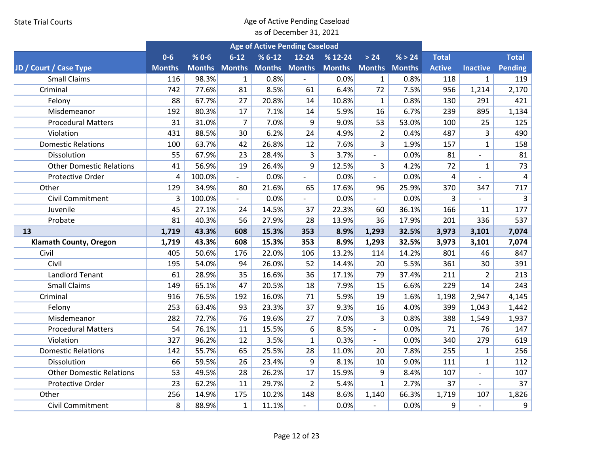|                                 | <b>Age of Active Pending Caseload</b> |           |                      |                      |                          |               |                          |        |                         |                          |                |
|---------------------------------|---------------------------------------|-----------|----------------------|----------------------|--------------------------|---------------|--------------------------|--------|-------------------------|--------------------------|----------------|
|                                 | $0 - 6$                               | $% 0 - 6$ | $6 - 12$             | $% 6-12$             | $12 - 24$                | $% 12-24$     | > 24                     | % > 24 | <b>Total</b>            |                          | <b>Total</b>   |
| JD / Court / Case Type          | <b>Months</b>                         |           | <b>Months Months</b> | <b>Months Months</b> |                          | <b>Months</b> | <b>Months Months</b>     |        | <b>Active</b>           | <b>Inactive</b>          | Pending        |
| <b>Small Claims</b>             | 116                                   | 98.3%     | $\mathbf{1}$         | 0.8%                 |                          | 0.0%          | $\mathbf{1}$             | 0.8%   | 118                     | $\mathbf{1}$             | 119            |
| Criminal                        | 742                                   | 77.6%     | 81                   | 8.5%                 | 61                       | 6.4%          | 72                       | 7.5%   | 956                     | 1,214                    | 2,170          |
| Felony                          | 88                                    | 67.7%     | 27                   | 20.8%                | 14                       | 10.8%         | $\mathbf{1}$             | 0.8%   | 130                     | 291                      | 421            |
| Misdemeanor                     | 192                                   | 80.3%     | 17                   | 7.1%                 | 14                       | 5.9%          | 16                       | 6.7%   | 239                     | 895                      | 1,134          |
| <b>Procedural Matters</b>       | 31                                    | 31.0%     | $\overline{7}$       | 7.0%                 | 9                        | 9.0%          | 53                       | 53.0%  | 100                     | 25                       | 125            |
| Violation                       | 431                                   | 88.5%     | 30                   | 6.2%                 | 24                       | 4.9%          | $\overline{2}$           | 0.4%   | 487                     | $\overline{3}$           | 490            |
| <b>Domestic Relations</b>       | 100                                   | 63.7%     | 42                   | 26.8%                | 12                       | 7.6%          | $\overline{3}$           | 1.9%   | 157                     | $\mathbf{1}$             | 158            |
| Dissolution                     | 55                                    | 67.9%     | 23                   | 28.4%                | 3                        | 3.7%          | $\overline{\phantom{a}}$ | 0.0%   | 81                      | $\overline{\phantom{0}}$ | 81             |
| <b>Other Domestic Relations</b> | 41                                    | 56.9%     | 19                   | 26.4%                | 9                        | 12.5%         | 3                        | 4.2%   | 72                      | $\mathbf{1}$             | 73             |
| <b>Protective Order</b>         | 4                                     | 100.0%    | $\blacksquare$       | 0.0%                 |                          | 0.0%          |                          | 0.0%   | $\overline{\mathbf{4}}$ |                          | $\overline{4}$ |
| Other                           | 129                                   | 34.9%     | 80                   | 21.6%                | 65                       | 17.6%         | 96                       | 25.9%  | 370                     | 347                      | 717            |
| <b>Civil Commitment</b>         | 3                                     | 100.0%    |                      | 0.0%                 |                          | 0.0%          |                          | 0.0%   | 3                       |                          | 3              |
| Juvenile                        | 45                                    | 27.1%     | 24                   | 14.5%                | 37                       | 22.3%         | 60                       | 36.1%  | 166                     | 11                       | 177            |
| Probate                         | 81                                    | 40.3%     | 56                   | 27.9%                | 28                       | 13.9%         | 36                       | 17.9%  | 201                     | 336                      | 537            |
| 13                              | 1,719                                 | 43.3%     | 608                  | 15.3%                | 353                      | 8.9%          | 1,293                    | 32.5%  | 3,973                   | 3,101                    | 7,074          |
| <b>Klamath County, Oregon</b>   | 1,719                                 | 43.3%     | 608                  | 15.3%                | 353                      | 8.9%          | 1,293                    | 32.5%  | 3,973                   | 3,101                    | 7,074          |
| Civil                           | 405                                   | 50.6%     | 176                  | 22.0%                | 106                      | 13.2%         | 114                      | 14.2%  | 801                     | 46                       | 847            |
| Civil                           | 195                                   | 54.0%     | 94                   | 26.0%                | 52                       | 14.4%         | 20                       | 5.5%   | 361                     | 30                       | 391            |
| <b>Landlord Tenant</b>          | 61                                    | 28.9%     | 35                   | 16.6%                | 36                       | 17.1%         | 79                       | 37.4%  | 211                     | $\overline{2}$           | 213            |
| <b>Small Claims</b>             | 149                                   | 65.1%     | 47                   | 20.5%                | 18                       | 7.9%          | 15                       | 6.6%   | 229                     | 14                       | 243            |
| Criminal                        | 916                                   | 76.5%     | 192                  | 16.0%                | 71                       | 5.9%          | 19                       | 1.6%   | 1,198                   | 2,947                    | 4,145          |
| Felony                          | 253                                   | 63.4%     | 93                   | 23.3%                | 37                       | 9.3%          | 16                       | 4.0%   | 399                     | 1,043                    | 1,442          |
| Misdemeanor                     | 282                                   | 72.7%     | 76                   | 19.6%                | 27                       | 7.0%          | $\overline{3}$           | 0.8%   | 388                     | 1,549                    | 1,937          |
| <b>Procedural Matters</b>       | 54                                    | 76.1%     | 11                   | 15.5%                | 6                        | 8.5%          | $\overline{\phantom{a}}$ | 0.0%   | 71                      | 76                       | 147            |
| Violation                       | 327                                   | 96.2%     | 12                   | 3.5%                 | $\mathbf{1}$             | 0.3%          | $\overline{\phantom{a}}$ | 0.0%   | 340                     | 279                      | 619            |
| <b>Domestic Relations</b>       | 142                                   | 55.7%     | 65                   | 25.5%                | 28                       | 11.0%         | 20                       | 7.8%   | 255                     | $\mathbf{1}$             | 256            |
| Dissolution                     | 66                                    | 59.5%     | 26                   | 23.4%                | 9                        | 8.1%          | 10                       | 9.0%   | 111                     | $\mathbf{1}$             | 112            |
| <b>Other Domestic Relations</b> | 53                                    | 49.5%     | 28                   | 26.2%                | 17                       | 15.9%         | 9                        | 8.4%   | 107                     | $\overline{a}$           | 107            |
| Protective Order                | 23                                    | 62.2%     | 11                   | 29.7%                | $\overline{2}$           | 5.4%          | $\mathbf{1}$             | 2.7%   | 37                      | $\overline{a}$           | 37             |
| Other                           | 256                                   | 14.9%     | 175                  | 10.2%                | 148                      | 8.6%          | 1,140                    | 66.3%  | 1,719                   | 107                      | 1,826          |
| <b>Civil Commitment</b>         | 8                                     | 88.9%     | $\mathbf{1}$         | 11.1%                | $\overline{\phantom{a}}$ | 0.0%          |                          | 0.0%   | 9                       |                          | 9              |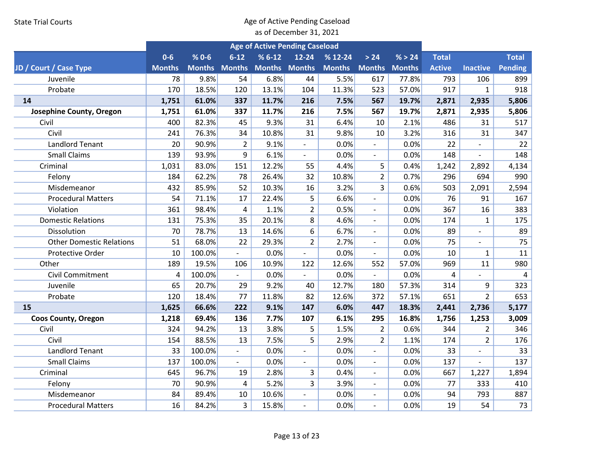|                                 |               |               |                          |                      | <b>Age of Active Pending Caseload</b> |               |                          |               |               |                 |                |
|---------------------------------|---------------|---------------|--------------------------|----------------------|---------------------------------------|---------------|--------------------------|---------------|---------------|-----------------|----------------|
|                                 | $0-6$         | $% 0 - 6$     | $6 - 12$                 | $% 6-12$             | 12-24                                 | $% 12-24$     | $>24$                    | % > 24        | <b>Total</b>  |                 | <b>Total</b>   |
| JD / Court / Case Type          | <b>Months</b> | <b>Months</b> | <b>Months</b>            | <b>Months Months</b> |                                       | <b>Months</b> | <b>Months</b>            | <b>Months</b> | <b>Active</b> | <b>Inactive</b> | <b>Pending</b> |
| Juvenile                        | 78            | 9.8%          | 54                       | 6.8%                 | 44                                    | 5.5%          | 617                      | 77.8%         | 793           | 106             | 899            |
| Probate                         | 170           | 18.5%         | 120                      | 13.1%                | 104                                   | 11.3%         | 523                      | 57.0%         | 917           | $\mathbf{1}$    | 918            |
| 14                              | 1,751         | 61.0%         | 337                      | 11.7%                | 216                                   | 7.5%          | 567                      | 19.7%         | 2,871         | 2,935           | 5,806          |
| Josephine County, Oregon        | 1,751         | 61.0%         | 337                      | 11.7%                | 216                                   | 7.5%          | 567                      | 19.7%         | 2,871         | 2,935           | 5,806          |
| Civil                           | 400           | 82.3%         | 45                       | 9.3%                 | 31                                    | 6.4%          | 10                       | 2.1%          | 486           | 31              | 517            |
| Civil                           | 241           | 76.3%         | 34                       | 10.8%                | 31                                    | 9.8%          | 10                       | 3.2%          | 316           | 31              | 347            |
| Landlord Tenant                 | 20            | 90.9%         | $\overline{2}$           | 9.1%                 | $\overline{\phantom{a}}$              | 0.0%          | $\overline{\phantom{0}}$ | 0.0%          | 22            |                 | 22             |
| <b>Small Claims</b>             | 139           | 93.9%         | 9                        | 6.1%                 | $\blacksquare$                        | 0.0%          | $\overline{\phantom{0}}$ | 0.0%          | 148           |                 | 148            |
| Criminal                        | 1,031         | 83.0%         | 151                      | 12.2%                | 55                                    | 4.4%          | 5                        | 0.4%          | 1,242         | 2,892           | 4,134          |
| Felony                          | 184           | 62.2%         | 78                       | 26.4%                | 32                                    | 10.8%         | $\overline{2}$           | 0.7%          | 296           | 694             | 990            |
| Misdemeanor                     | 432           | 85.9%         | 52                       | 10.3%                | 16                                    | 3.2%          | $\overline{3}$           | 0.6%          | 503           | 2,091           | 2,594          |
| <b>Procedural Matters</b>       | 54            | 71.1%         | 17                       | 22.4%                | 5                                     | 6.6%          |                          | 0.0%          | 76            | 91              | 167            |
| Violation                       | 361           | 98.4%         | 4                        | 1.1%                 | $\overline{2}$                        | 0.5%          | $\overline{\phantom{a}}$ | 0.0%          | 367           | 16              | 383            |
| <b>Domestic Relations</b>       | 131           | 75.3%         | 35                       | 20.1%                | 8                                     | 4.6%          | $\overline{\phantom{a}}$ | 0.0%          | 174           | 1               | 175            |
| Dissolution                     | 70            | 78.7%         | 13                       | 14.6%                | 6                                     | 6.7%          | $\mathbf{r}$             | 0.0%          | 89            |                 | 89             |
| <b>Other Domestic Relations</b> | 51            | 68.0%         | 22                       | 29.3%                | $\overline{2}$                        | 2.7%          | $\blacksquare$           | 0.0%          | 75            |                 | 75             |
| Protective Order                | 10            | 100.0%        | $\overline{a}$           | 0.0%                 | $\overline{a}$                        | 0.0%          | $\blacksquare$           | 0.0%          | 10            | $\mathbf{1}$    | 11             |
| Other                           | 189           | 19.5%         | 106                      | 10.9%                | 122                                   | 12.6%         | 552                      | 57.0%         | 969           | 11              | 980            |
| Civil Commitment                | 4             | 100.0%        | $\overline{\phantom{a}}$ | 0.0%                 | $\overline{\phantom{a}}$              | 0.0%          | $\overline{\phantom{a}}$ | 0.0%          | 4             |                 | 4              |
| Juvenile                        | 65            | 20.7%         | 29                       | 9.2%                 | 40                                    | 12.7%         | 180                      | 57.3%         | 314           | 9               | 323            |
| Probate                         | 120           | 18.4%         | 77                       | 11.8%                | 82                                    | 12.6%         | 372                      | 57.1%         | 651           | $\overline{2}$  | 653            |
| 15                              | 1,625         | 66.6%         | 222                      | 9.1%                 | 147                                   | 6.0%          | 447                      | 18.3%         | 2,441         | 2,736           | 5,177          |
| <b>Coos County, Oregon</b>      | 1,218         | 69.4%         | 136                      | 7.7%                 | 107                                   | 6.1%          | 295                      | 16.8%         | 1,756         | 1,253           | 3,009          |
| Civil                           | 324           | 94.2%         | 13                       | 3.8%                 | 5                                     | 1.5%          | $\overline{2}$           | 0.6%          | 344           | $\overline{2}$  | 346            |
| Civil                           | 154           | 88.5%         | 13                       | 7.5%                 | 5                                     | 2.9%          | $\overline{2}$           | 1.1%          | 174           | $\overline{2}$  | 176            |
| <b>Landlord Tenant</b>          | 33            | 100.0%        | $\overline{\phantom{a}}$ | 0.0%                 | $\blacksquare$                        | 0.0%          | $\overline{\phantom{a}}$ | 0.0%          | 33            |                 | 33             |
| <b>Small Claims</b>             | 137           | 100.0%        | $\overline{\phantom{0}}$ | 0.0%                 | $\overline{\phantom{a}}$              | 0.0%          | $\overline{\phantom{0}}$ | 0.0%          | 137           |                 | 137            |
| Criminal                        | 645           | 96.7%         | 19                       | 2.8%                 | 3                                     | 0.4%          | $\overline{\phantom{a}}$ | 0.0%          | 667           | 1,227           | 1,894          |
| Felony                          | 70            | 90.9%         | 4                        | 5.2%                 | 3                                     | 3.9%          |                          | 0.0%          | 77            | 333             | 410            |
| Misdemeanor                     | 84            | 89.4%         | 10                       | 10.6%                |                                       | 0.0%          | $\overline{\phantom{a}}$ | 0.0%          | 94            | 793             | 887            |
| <b>Procedural Matters</b>       | 16            | 84.2%         | 3                        | 15.8%                | $\overline{\phantom{a}}$              | 0.0%          | $\overline{\phantom{a}}$ | 0.0%          | 19            | 54              | 73             |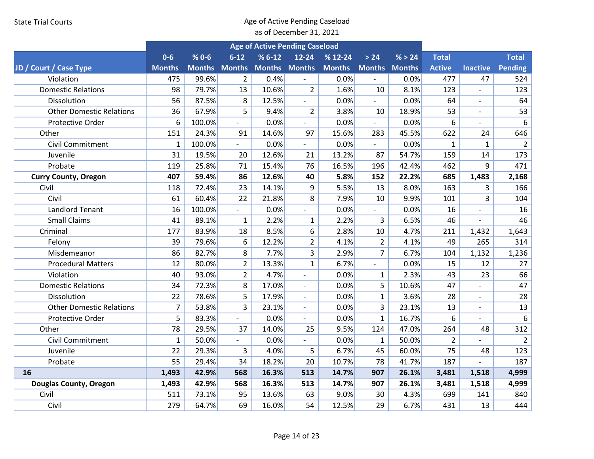|                                 |               |           |                          |                      | <b>Age of Active Pending Caseload</b> |               |                          |        |                |                          |                |
|---------------------------------|---------------|-----------|--------------------------|----------------------|---------------------------------------|---------------|--------------------------|--------|----------------|--------------------------|----------------|
|                                 | $0 - 6$       | $% 0 - 6$ | $6 - 12$                 | $% 6-12$             | $12 - 24$                             | $% 12-24$     | > 24                     | % > 24 | <b>Total</b>   |                          | <b>Total</b>   |
| JD / Court / Case Type          | <b>Months</b> |           | <b>Months Months</b>     | <b>Months Months</b> |                                       | <b>Months</b> | <b>Months Months</b>     |        | <b>Active</b>  | <b>Inactive</b>          | Pending        |
| Violation                       | 475           | 99.6%     | $\overline{2}$           | 0.4%                 |                                       | 0.0%          |                          | 0.0%   | 477            | 47                       | 524            |
| <b>Domestic Relations</b>       | 98            | 79.7%     | 13                       | 10.6%                | $\overline{2}$                        | 1.6%          | 10                       | 8.1%   | 123            |                          | 123            |
| Dissolution                     | 56            | 87.5%     | 8                        | 12.5%                | $\blacksquare$                        | 0.0%          | $\overline{a}$           | 0.0%   | 64             | $\overline{a}$           | 64             |
| <b>Other Domestic Relations</b> | 36            | 67.9%     | 5                        | 9.4%                 | $\overline{2}$                        | 3.8%          | 10                       | 18.9%  | 53             |                          | 53             |
| <b>Protective Order</b>         | 6             | 100.0%    | $\overline{\phantom{a}}$ | 0.0%                 |                                       | 0.0%          | $\overline{\phantom{a}}$ | 0.0%   | 6              | $\overline{a}$           | 6              |
| Other                           | 151           | 24.3%     | 91                       | 14.6%                | 97                                    | 15.6%         | 283                      | 45.5%  | 622            | 24                       | 646            |
| <b>Civil Commitment</b>         | $\mathbf{1}$  | 100.0%    |                          | 0.0%                 |                                       | 0.0%          |                          | 0.0%   | $\mathbf{1}$   | $\mathbf{1}$             | $\overline{2}$ |
| Juvenile                        | 31            | 19.5%     | 20                       | 12.6%                | 21                                    | 13.2%         | 87                       | 54.7%  | 159            | 14                       | 173            |
| Probate                         | 119           | 25.8%     | 71                       | 15.4%                | 76                                    | 16.5%         | 196                      | 42.4%  | 462            | 9                        | 471            |
| <b>Curry County, Oregon</b>     | 407           | 59.4%     | 86                       | 12.6%                | 40                                    | 5.8%          | 152                      | 22.2%  | 685            | 1,483                    | 2,168          |
| Civil                           | 118           | 72.4%     | 23                       | 14.1%                | 9                                     | 5.5%          | 13                       | 8.0%   | 163            | 3                        | 166            |
| Civil                           | 61            | 60.4%     | 22                       | 21.8%                | 8                                     | 7.9%          | 10                       | 9.9%   | 101            | 3                        | 104            |
| <b>Landlord Tenant</b>          | 16            | 100.0%    |                          | 0.0%                 | $\overline{\phantom{a}}$              | 0.0%          | $\overline{\phantom{a}}$ | 0.0%   | 16             | $\overline{a}$           | 16             |
| <b>Small Claims</b>             | 41            | 89.1%     | $\mathbf{1}$             | 2.2%                 | $\mathbf{1}$                          | 2.2%          | 3                        | 6.5%   | 46             | $\overline{a}$           | 46             |
| Criminal                        | 177           | 83.9%     | 18                       | 8.5%                 | 6                                     | 2.8%          | 10                       | 4.7%   | 211            | 1,432                    | 1,643          |
| Felony                          | 39            | 79.6%     | 6                        | 12.2%                | $\overline{2}$                        | 4.1%          | $\overline{2}$           | 4.1%   | 49             | 265                      | 314            |
| Misdemeanor                     | 86            | 82.7%     | 8                        | 7.7%                 | 3                                     | 2.9%          | $\overline{7}$           | 6.7%   | 104            | 1,132                    | 1,236          |
| <b>Procedural Matters</b>       | 12            | 80.0%     | $\overline{2}$           | 13.3%                | $\mathbf{1}$                          | 6.7%          | $\overline{\phantom{a}}$ | 0.0%   | 15             | 12                       | 27             |
| Violation                       | 40            | 93.0%     | $\overline{2}$           | 4.7%                 | $\overline{\phantom{a}}$              | 0.0%          | $\mathbf{1}$             | 2.3%   | 43             | 23                       | 66             |
| <b>Domestic Relations</b>       | 34            | 72.3%     | 8                        | 17.0%                | $\blacksquare$                        | 0.0%          | 5                        | 10.6%  | 47             | $\overline{a}$           | 47             |
| Dissolution                     | 22            | 78.6%     | 5                        | 17.9%                | $\overline{\phantom{a}}$              | 0.0%          | $\mathbf{1}$             | 3.6%   | 28             | $\overline{\phantom{0}}$ | 28             |
| <b>Other Domestic Relations</b> | 7             | 53.8%     | 3                        | 23.1%                | $\overline{\phantom{a}}$              | 0.0%          | 3                        | 23.1%  | 13             | $\overline{a}$           | 13             |
| Protective Order                | 5             | 83.3%     | $\overline{a}$           | 0.0%                 |                                       | 0.0%          | $\mathbf 1$              | 16.7%  | 6              |                          | 6              |
| Other                           | 78            | 29.5%     | 37                       | 14.0%                | 25                                    | 9.5%          | 124                      | 47.0%  | 264            | 48                       | 312            |
| <b>Civil Commitment</b>         | $\mathbf{1}$  | 50.0%     | $\mathbf{r}$             | 0.0%                 | $\blacksquare$                        | 0.0%          | $\mathbf{1}$             | 50.0%  | $\overline{2}$ |                          | $\overline{2}$ |
| Juvenile                        | 22            | 29.3%     | 3                        | 4.0%                 | 5                                     | 6.7%          | 45                       | 60.0%  | 75             | 48                       | 123            |
| Probate                         | 55            | 29.4%     | 34                       | 18.2%                | 20                                    | 10.7%         | 78                       | 41.7%  | 187            |                          | 187            |
| 16                              | 1,493         | 42.9%     | 568                      | 16.3%                | 513                                   | 14.7%         | 907                      | 26.1%  | 3,481          | 1,518                    | 4,999          |
| <b>Douglas County, Oregon</b>   | 1,493         | 42.9%     | 568                      | 16.3%                | 513                                   | 14.7%         | 907                      | 26.1%  | 3,481          | 1,518                    | 4,999          |
| Civil                           | 511           | 73.1%     | 95                       | 13.6%                | 63                                    | 9.0%          | 30                       | 4.3%   | 699            | 141                      | 840            |
| Civil                           | 279           | 64.7%     | 69                       | 16.0%                | 54                                    | 12.5%         | 29                       | 6.7%   | 431            | 13                       | 444            |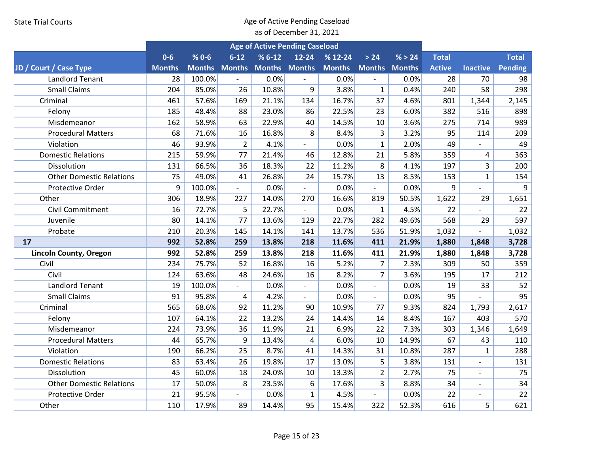|                                 |               |           |                          |                      | <b>Age of Active Pending Caseload</b> |               |                          |        |               |                          |              |
|---------------------------------|---------------|-----------|--------------------------|----------------------|---------------------------------------|---------------|--------------------------|--------|---------------|--------------------------|--------------|
|                                 | $0-6$         | $% 0 - 6$ | $6 - 12$                 | $% 6-12$             | $12 - 24$                             | $% 12-24$     | > 24                     | % > 24 | <b>Total</b>  |                          | <b>Total</b> |
| JD / Court / Case Type          | <b>Months</b> |           | <b>Months Months</b>     | <b>Months Months</b> |                                       | <b>Months</b> | <b>Months Months</b>     |        | <b>Active</b> | <b>Inactive</b>          | Pending      |
| <b>Landlord Tenant</b>          | 28            | 100.0%    |                          | 0.0%                 |                                       | 0.0%          |                          | 0.0%   | 28            | 70                       | 98           |
| <b>Small Claims</b>             | 204           | 85.0%     | 26                       | 10.8%                | 9                                     | 3.8%          | $\mathbf{1}$             | 0.4%   | 240           | 58                       | 298          |
| Criminal                        | 461           | 57.6%     | 169                      | 21.1%                | 134                                   | 16.7%         | 37                       | 4.6%   | 801           | 1,344                    | 2,145        |
| Felony                          | 185           | 48.4%     | 88                       | 23.0%                | 86                                    | 22.5%         | 23                       | 6.0%   | 382           | 516                      | 898          |
| Misdemeanor                     | 162           | 58.9%     | 63                       | 22.9%                | 40                                    | 14.5%         | 10                       | 3.6%   | 275           | 714                      | 989          |
| <b>Procedural Matters</b>       | 68            | 71.6%     | 16                       | 16.8%                | 8                                     | 8.4%          | 3                        | 3.2%   | 95            | 114                      | 209          |
| Violation                       | 46            | 93.9%     | $\overline{2}$           | 4.1%                 | $\overline{a}$                        | 0.0%          | $\mathbf{1}$             | 2.0%   | 49            |                          | 49           |
| <b>Domestic Relations</b>       | 215           | 59.9%     | 77                       | 21.4%                | 46                                    | 12.8%         | 21                       | 5.8%   | 359           | 4                        | 363          |
| Dissolution                     | 131           | 66.5%     | 36                       | 18.3%                | 22                                    | 11.2%         | 8                        | 4.1%   | 197           | 3                        | 200          |
| <b>Other Domestic Relations</b> | 75            | 49.0%     | 41                       | 26.8%                | 24                                    | 15.7%         | 13                       | 8.5%   | 153           | $\mathbf{1}$             | 154          |
| Protective Order                | 9             | 100.0%    | $\overline{\phantom{a}}$ | 0.0%                 | $\overline{\phantom{a}}$              | 0.0%          |                          | 0.0%   | 9             | $\overline{a}$           | 9            |
| Other                           | 306           | 18.9%     | 227                      | 14.0%                | 270                                   | 16.6%         | 819                      | 50.5%  | 1,622         | 29                       | 1,651        |
| Civil Commitment                | 16            | 72.7%     | 5                        | 22.7%                | $\overline{\phantom{a}}$              | 0.0%          | $\mathbf{1}$             | 4.5%   | 22            |                          | 22           |
| Juvenile                        | 80            | 14.1%     | 77                       | 13.6%                | 129                                   | 22.7%         | 282                      | 49.6%  | 568           | 29                       | 597          |
| Probate                         | 210           | 20.3%     | 145                      | 14.1%                | 141                                   | 13.7%         | 536                      | 51.9%  | 1,032         |                          | 1,032        |
| 17                              | 992           | 52.8%     | 259                      | 13.8%                | 218                                   | 11.6%         | 411                      | 21.9%  | 1,880         | 1,848                    | 3,728        |
| <b>Lincoln County, Oregon</b>   | 992           | 52.8%     | 259                      | 13.8%                | 218                                   | 11.6%         | 411                      | 21.9%  | 1,880         | 1,848                    | 3,728        |
| Civil                           | 234           | 75.7%     | 52                       | 16.8%                | 16                                    | 5.2%          | $\overline{7}$           | 2.3%   | 309           | 50                       | 359          |
| Civil                           | 124           | 63.6%     | 48                       | 24.6%                | 16                                    | 8.2%          | $\overline{7}$           | 3.6%   | 195           | 17                       | 212          |
| <b>Landlord Tenant</b>          | 19            | 100.0%    | $\overline{\phantom{a}}$ | 0.0%                 | $\overline{\phantom{a}}$              | 0.0%          | $\blacksquare$           | 0.0%   | 19            | 33                       | 52           |
| <b>Small Claims</b>             | 91            | 95.8%     | 4                        | 4.2%                 | $\overline{\phantom{a}}$              | 0.0%          | $\overline{\phantom{0}}$ | 0.0%   | 95            |                          | 95           |
| Criminal                        | 565           | 68.6%     | 92                       | 11.2%                | 90                                    | 10.9%         | 77                       | 9.3%   | 824           | 1,793                    | 2,617        |
| Felony                          | 107           | 64.1%     | 22                       | 13.2%                | 24                                    | 14.4%         | 14                       | 8.4%   | 167           | 403                      | 570          |
| Misdemeanor                     | 224           | 73.9%     | 36                       | 11.9%                | 21                                    | 6.9%          | 22                       | 7.3%   | 303           | 1,346                    | 1,649        |
| <b>Procedural Matters</b>       | 44            | 65.7%     | 9                        | 13.4%                | 4                                     | 6.0%          | 10                       | 14.9%  | 67            | 43                       | 110          |
| Violation                       | 190           | 66.2%     | 25                       | 8.7%                 | 41                                    | 14.3%         | 31                       | 10.8%  | 287           | $\mathbf{1}$             | 288          |
| <b>Domestic Relations</b>       | 83            | 63.4%     | 26                       | 19.8%                | 17                                    | 13.0%         | 5                        | 3.8%   | 131           | $\overline{a}$           | 131          |
| Dissolution                     | 45            | 60.0%     | 18                       | 24.0%                | 10                                    | 13.3%         | $\overline{2}$           | 2.7%   | 75            | $\overline{a}$           | 75           |
| <b>Other Domestic Relations</b> | 17            | 50.0%     | 8                        | 23.5%                | 6                                     | 17.6%         | $\overline{3}$           | 8.8%   | 34            | $\overline{\phantom{a}}$ | 34           |
| Protective Order                | 21            | 95.5%     | $\overline{\phantom{a}}$ | 0.0%                 | $\mathbf{1}$                          | 4.5%          | $\overline{\phantom{a}}$ | 0.0%   | 22            | $\overline{\phantom{m}}$ | 22           |
| Other                           | 110           | 17.9%     | 89                       | 14.4%                | 95                                    | 15.4%         | 322                      | 52.3%  | 616           | 5                        | 621          |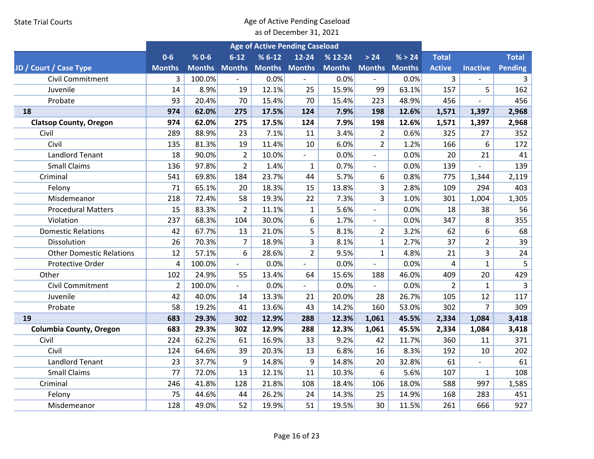|                                 |                |               |                           | <b>Age of Active Pending Caseload</b> |                          |               |                             |               |                         |                 |                |
|---------------------------------|----------------|---------------|---------------------------|---------------------------------------|--------------------------|---------------|-----------------------------|---------------|-------------------------|-----------------|----------------|
|                                 | $0-6$          | $% 0 - 6$     | $6 - 12$                  | $% 6-12$                              | $12 - 24$                | $% 12-24$     | $>24$                       | % > 24        | <b>Total</b>            |                 | <b>Total</b>   |
| JD / Court / Case Type          | <b>Months</b>  | <b>Months</b> | <b>Months</b>             | <b>Months Months</b>                  |                          | <b>Months</b> | <b>Months</b>               | <b>Months</b> | <b>Active</b>           | <b>Inactive</b> | Pending        |
| <b>Civil Commitment</b>         | 3              | 100.0%        |                           | 0.0%                                  |                          | 0.0%          |                             | 0.0%          | 3                       |                 | 3              |
| Juvenile                        | 14             | 8.9%          | 19                        | 12.1%                                 | 25                       | 15.9%         | 99                          | 63.1%         | 157                     | 5               | 162            |
| Probate                         | 93             | 20.4%         | 70                        | 15.4%                                 | 70                       | 15.4%         | 223                         | 48.9%         | 456                     | $\overline{a}$  | 456            |
| 18                              | 974            | 62.0%         | 275                       | 17.5%                                 | 124                      | 7.9%          | 198                         | 12.6%         | 1,571                   | 1,397           | 2,968          |
| <b>Clatsop County, Oregon</b>   | 974            | 62.0%         | 275                       | 17.5%                                 | 124                      | 7.9%          | 198                         | 12.6%         | 1,571                   | 1,397           | 2,968          |
| Civil                           | 289            | 88.9%         | 23                        | 7.1%                                  | 11                       | 3.4%          | $\overline{2}$              | 0.6%          | 325                     | 27              | 352            |
| Civil                           | 135            | 81.3%         | 19                        | 11.4%                                 | 10                       | 6.0%          | $\overline{2}$              | 1.2%          | 166                     | 6               | 172            |
| <b>Landlord Tenant</b>          | 18             | 90.0%         | $\overline{2}$            | 10.0%                                 | $\blacksquare$           | 0.0%          | $\overline{\phantom{a}}$    | 0.0%          | 20                      | 21              | 41             |
| <b>Small Claims</b>             | 136            | 97.8%         | $\overline{2}$            | 1.4%                                  | $\mathbf{1}$             | 0.7%          | $\blacksquare$              | 0.0%          | 139                     |                 | 139            |
| Criminal                        | 541            | 69.8%         | 184                       | 23.7%                                 | 44                       | 5.7%          | 6                           | 0.8%          | 775                     | 1,344           | 2,119          |
| Felony                          | 71             | 65.1%         | 20                        | 18.3%                                 | 15                       | 13.8%         | 3                           | 2.8%          | 109                     | 294             | 403            |
| Misdemeanor                     | 218            | 72.4%         | 58                        | 19.3%                                 | 22                       | 7.3%          | 3                           | 1.0%          | 301                     | 1,004           | 1,305          |
| <b>Procedural Matters</b>       | 15             | 83.3%         | $\overline{2}$            | 11.1%                                 | $\mathbf{1}$             | 5.6%          | $\overline{\phantom{a}}$    | 0.0%          | 18                      | 38              | 56             |
| Violation                       | 237            | 68.3%         | 104                       | 30.0%                                 | 6                        | 1.7%          | $\blacksquare$              | 0.0%          | 347                     | 8               | 355            |
| <b>Domestic Relations</b>       | 42             | 67.7%         | 13                        | 21.0%                                 | 5                        | 8.1%          | $\overline{2}$              | 3.2%          | 62                      | 6               | 68             |
| Dissolution                     | 26             | 70.3%         | $\overline{7}$            | 18.9%                                 | 3                        | 8.1%          | $\mathbf{1}$                | 2.7%          | 37                      | $\overline{2}$  | 39             |
| <b>Other Domestic Relations</b> | 12             | 57.1%         | 6                         | 28.6%                                 | $\overline{2}$           | 9.5%          | $\mathbf{1}$                | 4.8%          | 21                      | $\overline{3}$  | 24             |
| Protective Order                | 4              | 100.0%        | $\overline{\phantom{a}}$  | 0.0%                                  | $\frac{1}{2}$            | 0.0%          | $\overline{a}$              | 0.0%          | $\overline{\mathbf{4}}$ | $\mathbf{1}$    | 5              |
| Other                           | 102            | 24.9%         | 55                        | 13.4%                                 | 64                       | 15.6%         | 188                         | 46.0%         | 409                     | 20              | 429            |
| Civil Commitment                | $\overline{2}$ | 100.0%        | $\mathbb{Z}^{\mathbb{Z}}$ | 0.0%                                  | $\overline{\phantom{a}}$ | 0.0%          | $\mathcal{L}_{\mathcal{A}}$ | 0.0%          | $\overline{2}$          | $\mathbf{1}$    | $\overline{3}$ |
| Juvenile                        | 42             | 40.0%         | 14                        | 13.3%                                 | 21                       | 20.0%         | 28                          | 26.7%         | 105                     | 12              | 117            |
| Probate                         | 58             | 19.2%         | 41                        | 13.6%                                 | 43                       | 14.2%         | 160                         | 53.0%         | 302                     | $\overline{7}$  | 309            |
| 19                              | 683            | 29.3%         | 302                       | 12.9%                                 | 288                      | 12.3%         | 1,061                       | 45.5%         | 2,334                   | 1,084           | 3,418          |
| <b>Columbia County, Oregon</b>  | 683            | 29.3%         | 302                       | 12.9%                                 | 288                      | 12.3%         | 1,061                       | 45.5%         | 2,334                   | 1,084           | 3,418          |
| Civil                           | 224            | 62.2%         | 61                        | 16.9%                                 | 33                       | 9.2%          | 42                          | 11.7%         | 360                     | 11              | 371            |
| Civil                           | 124            | 64.6%         | 39                        | 20.3%                                 | 13                       | 6.8%          | 16                          | 8.3%          | 192                     | 10              | 202            |
| <b>Landlord Tenant</b>          | 23             | 37.7%         | 9                         | 14.8%                                 | 9                        | 14.8%         | 20                          | 32.8%         | 61                      | $\overline{a}$  | 61             |
| <b>Small Claims</b>             | 77             | 72.0%         | 13                        | 12.1%                                 | 11                       | 10.3%         | 6                           | 5.6%          | 107                     | $\mathbf{1}$    | 108            |
| Criminal                        | 246            | 41.8%         | 128                       | 21.8%                                 | 108                      | 18.4%         | 106                         | 18.0%         | 588                     | 997             | 1,585          |
| Felony                          | 75             | 44.6%         | 44                        | 26.2%                                 | 24                       | 14.3%         | 25                          | 14.9%         | 168                     | 283             | 451            |
| Misdemeanor                     | 128            | 49.0%         | 52                        | 19.9%                                 | 51                       | 19.5%         | 30                          | 11.5%         | 261                     | 666             | 927            |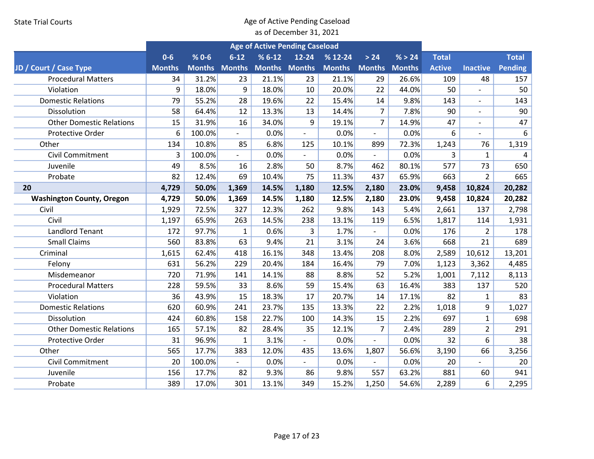|                                  |               |               |               | <b>Age of Active Pending Caseload</b> |                          |               |                          |               |               |                          |                |
|----------------------------------|---------------|---------------|---------------|---------------------------------------|--------------------------|---------------|--------------------------|---------------|---------------|--------------------------|----------------|
|                                  | $0-6$         | $% 0 - 6$     | $6 - 12$      | $% 6-12$                              | 12-24                    | $% 12-24$     | $>24$                    | % > 24        | <b>Total</b>  |                          | <b>Total</b>   |
| JD / Court / Case Type           | <b>Months</b> | <b>Months</b> | <b>Months</b> | <b>Months Months</b>                  |                          | <b>Months</b> | <b>Months</b>            | <b>Months</b> | <b>Active</b> | <b>Inactive</b>          | <b>Pending</b> |
| <b>Procedural Matters</b>        | 34            | 31.2%         | 23            | 21.1%                                 | 23                       | 21.1%         | 29                       | 26.6%         | 109           | 48                       | 157            |
| Violation                        | 9             | 18.0%         | 9             | 18.0%                                 | 10                       | 20.0%         | 22                       | 44.0%         | 50            |                          | 50             |
| <b>Domestic Relations</b>        | 79            | 55.2%         | 28            | 19.6%                                 | 22                       | 15.4%         | 14                       | 9.8%          | 143           | $\overline{\phantom{a}}$ | 143            |
| Dissolution                      | 58            | 64.4%         | 12            | 13.3%                                 | 13                       | 14.4%         | $\overline{7}$           | 7.8%          | 90            | $\overline{a}$           | 90             |
| <b>Other Domestic Relations</b>  | 15            | 31.9%         | 16            | 34.0%                                 | 9                        | 19.1%         | $\overline{7}$           | 14.9%         | 47            | $\overline{a}$           | 47             |
| <b>Protective Order</b>          | 6             | 100.0%        |               | 0.0%                                  | $\overline{\phantom{a}}$ | 0.0%          | $\overline{\phantom{a}}$ | 0.0%          | 6             | $\overline{\phantom{a}}$ | 6              |
| Other                            | 134           | 10.8%         | 85            | 6.8%                                  | 125                      | 10.1%         | 899                      | 72.3%         | 1,243         | 76                       | 1,319          |
| Civil Commitment                 | 3             | 100.0%        |               | 0.0%                                  |                          | 0.0%          | $\overline{\phantom{a}}$ | 0.0%          | 3             | 1                        | 4              |
| Juvenile                         | 49            | 8.5%          | 16            | 2.8%                                  | 50                       | 8.7%          | 462                      | 80.1%         | 577           | 73                       | 650            |
| Probate                          | 82            | 12.4%         | 69            | 10.4%                                 | 75                       | 11.3%         | 437                      | 65.9%         | 663           | $\overline{2}$           | 665            |
| 20                               | 4,729         | 50.0%         | 1,369         | 14.5%                                 | 1,180                    | 12.5%         | 2,180                    | 23.0%         | 9,458         | 10,824                   | 20,282         |
| <b>Washington County, Oregon</b> | 4,729         | 50.0%         | 1,369         | 14.5%                                 | 1,180                    | 12.5%         | 2,180                    | 23.0%         | 9,458         | 10,824                   | 20,282         |
| Civil                            | 1,929         | 72.5%         | 327           | 12.3%                                 | 262                      | 9.8%          | 143                      | 5.4%          | 2,661         | 137                      | 2,798          |
| Civil                            | 1,197         | 65.9%         | 263           | 14.5%                                 | 238                      | 13.1%         | 119                      | 6.5%          | 1,817         | 114                      | 1,931          |
| <b>Landlord Tenant</b>           | 172           | 97.7%         | $\mathbf{1}$  | 0.6%                                  | 3                        | 1.7%          |                          | 0.0%          | 176           | $\overline{2}$           | 178            |
| <b>Small Claims</b>              | 560           | 83.8%         | 63            | 9.4%                                  | 21                       | 3.1%          | 24                       | 3.6%          | 668           | 21                       | 689            |
| Criminal                         | 1,615         | 62.4%         | 418           | 16.1%                                 | 348                      | 13.4%         | 208                      | 8.0%          | 2,589         | 10,612                   | 13,201         |
| Felony                           | 631           | 56.2%         | 229           | 20.4%                                 | 184                      | 16.4%         | 79                       | 7.0%          | 1,123         | 3,362                    | 4,485          |
| Misdemeanor                      | 720           | 71.9%         | 141           | 14.1%                                 | 88                       | 8.8%          | 52                       | 5.2%          | 1,001         | 7,112                    | 8,113          |
| <b>Procedural Matters</b>        | 228           | 59.5%         | 33            | 8.6%                                  | 59                       | 15.4%         | 63                       | 16.4%         | 383           | 137                      | 520            |
| Violation                        | 36            | 43.9%         | 15            | 18.3%                                 | 17                       | 20.7%         | 14                       | 17.1%         | 82            | $\mathbf{1}$             | 83             |
| <b>Domestic Relations</b>        | 620           | 60.9%         | 241           | 23.7%                                 | 135                      | 13.3%         | 22                       | 2.2%          | 1,018         | 9                        | 1,027          |
| Dissolution                      | 424           | 60.8%         | 158           | 22.7%                                 | 100                      | 14.3%         | 15                       | 2.2%          | 697           | $\mathbf{1}$             | 698            |
| <b>Other Domestic Relations</b>  | 165           | 57.1%         | 82            | 28.4%                                 | 35                       | 12.1%         | $\overline{7}$           | 2.4%          | 289           | $\overline{2}$           | 291            |
| Protective Order                 | 31            | 96.9%         | $\mathbf{1}$  | 3.1%                                  | $\blacksquare$           | 0.0%          | $\overline{a}$           | 0.0%          | 32            | 6                        | 38             |
| Other                            | 565           | 17.7%         | 383           | 12.0%                                 | 435                      | 13.6%         | 1,807                    | 56.6%         | 3,190         | 66                       | 3,256          |
| Civil Commitment                 | 20            | 100.0%        |               | 0.0%                                  |                          | 0.0%          |                          | 0.0%          | 20            |                          | 20             |
| Juvenile                         | 156           | 17.7%         | 82            | 9.3%                                  | 86                       | 9.8%          | 557                      | 63.2%         | 881           | 60                       | 941            |
| Probate                          | 389           | 17.0%         | 301           | 13.1%                                 | 349                      | 15.2%         | 1,250                    | 54.6%         | 2,289         | 6                        | 2,295          |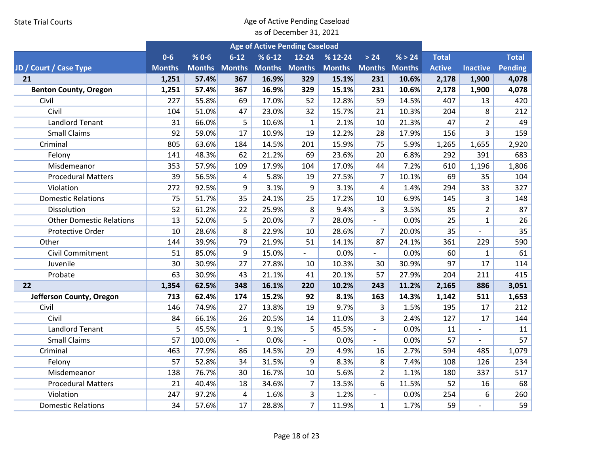|                                 |               |               |               | <b>Age of Active Pending Caseload</b> |                          |               |                          |               |               |                          |                |
|---------------------------------|---------------|---------------|---------------|---------------------------------------|--------------------------|---------------|--------------------------|---------------|---------------|--------------------------|----------------|
|                                 | $0-6$         | $% 0 - 6$     | $6 - 12$      | $% 6-12$                              | $12 - 24$                | % 12-24       | $>24$                    | % > 24        | <b>Total</b>  |                          | <b>Total</b>   |
| JD / Court / Case Type          | <b>Months</b> | <b>Months</b> | <b>Months</b> | <b>Months Months</b>                  |                          | <b>Months</b> | <b>Months</b>            | <b>Months</b> | <b>Active</b> | <b>Inactive</b>          | <b>Pending</b> |
| 21                              | 1,251         | 57.4%         | 367           | 16.9%                                 | 329                      | 15.1%         | 231                      | 10.6%         | 2,178         | 1,900                    | 4,078          |
| <b>Benton County, Oregon</b>    | 1,251         | 57.4%         | 367           | 16.9%                                 | 329                      | 15.1%         | 231                      | 10.6%         | 2,178         | 1,900                    | 4,078          |
| Civil                           | 227           | 55.8%         | 69            | 17.0%                                 | 52                       | 12.8%         | 59                       | 14.5%         | 407           | 13                       | 420            |
| Civil                           | 104           | 51.0%         | 47            | 23.0%                                 | 32                       | 15.7%         | 21                       | 10.3%         | 204           | 8                        | 212            |
| <b>Landlord Tenant</b>          | 31            | 66.0%         | 5             | 10.6%                                 | $\mathbf{1}$             | 2.1%          | 10                       | 21.3%         | 47            | $\overline{2}$           | 49             |
| <b>Small Claims</b>             | 92            | 59.0%         | 17            | 10.9%                                 | 19                       | 12.2%         | 28                       | 17.9%         | 156           | 3                        | 159            |
| Criminal                        | 805           | 63.6%         | 184           | 14.5%                                 | 201                      | 15.9%         | 75                       | 5.9%          | 1,265         | 1,655                    | 2,920          |
| Felony                          | 141           | 48.3%         | 62            | 21.2%                                 | 69                       | 23.6%         | 20                       | 6.8%          | 292           | 391                      | 683            |
| Misdemeanor                     | 353           | 57.9%         | 109           | 17.9%                                 | 104                      | 17.0%         | 44                       | 7.2%          | 610           | 1,196                    | 1,806          |
| <b>Procedural Matters</b>       | 39            | 56.5%         | 4             | 5.8%                                  | 19                       | 27.5%         | $\overline{7}$           | 10.1%         | 69            | 35                       | 104            |
| Violation                       | 272           | 92.5%         | 9             | 3.1%                                  | 9                        | 3.1%          | $\overline{4}$           | 1.4%          | 294           | 33                       | 327            |
| <b>Domestic Relations</b>       | 75            | 51.7%         | 35            | 24.1%                                 | 25                       | 17.2%         | 10                       | 6.9%          | 145           | 3                        | 148            |
| Dissolution                     | 52            | 61.2%         | 22            | 25.9%                                 | 8                        | 9.4%          | 3                        | 3.5%          | 85            | $\overline{2}$           | 87             |
| <b>Other Domestic Relations</b> | 13            | 52.0%         | 5             | 20.0%                                 | $\overline{7}$           | 28.0%         | $\overline{\phantom{a}}$ | 0.0%          | 25            | $\mathbf{1}$             | 26             |
| Protective Order                | 10            | 28.6%         | 8             | 22.9%                                 | 10                       | 28.6%         | $\overline{7}$           | 20.0%         | 35            |                          | 35             |
| Other                           | 144           | 39.9%         | 79            | 21.9%                                 | 51                       | 14.1%         | 87                       | 24.1%         | 361           | 229                      | 590            |
| Civil Commitment                | 51            | 85.0%         | 9             | 15.0%                                 | $\overline{a}$           | 0.0%          | $\overline{a}$           | 0.0%          | 60            | $\mathbf{1}$             | 61             |
| Juvenile                        | 30            | 30.9%         | 27            | 27.8%                                 | 10                       | 10.3%         | 30                       | 30.9%         | 97            | 17                       | 114            |
| Probate                         | 63            | 30.9%         | 43            | 21.1%                                 | 41                       | 20.1%         | 57                       | 27.9%         | 204           | 211                      | 415            |
| 22                              | 1,354         | 62.5%         | 348           | 16.1%                                 | 220                      | 10.2%         | 243                      | 11.2%         | 2,165         | 886                      | 3,051          |
| Jefferson County, Oregon        | 713           | 62.4%         | 174           | 15.2%                                 | 92                       | 8.1%          | 163                      | 14.3%         | 1,142         | 511                      | 1,653          |
| Civil                           | 146           | 74.9%         | 27            | 13.8%                                 | 19                       | 9.7%          | 3                        | 1.5%          | 195           | 17                       | 212            |
| Civil                           | 84            | 66.1%         | 26            | 20.5%                                 | 14                       | 11.0%         | $\overline{3}$           | 2.4%          | 127           | 17                       | 144            |
| <b>Landlord Tenant</b>          | 5             | 45.5%         | $\mathbf 1$   | 9.1%                                  | 5                        | 45.5%         | $\overline{\phantom{a}}$ | 0.0%          | 11            |                          | 11             |
| <b>Small Claims</b>             | 57            | 100.0%        | $\sim$        | 0.0%                                  | $\overline{\phantom{a}}$ | 0.0%          | $\omega$                 | 0.0%          | 57            | $\overline{\phantom{a}}$ | 57             |
| Criminal                        | 463           | 77.9%         | 86            | 14.5%                                 | 29                       | 4.9%          | 16                       | 2.7%          | 594           | 485                      | 1,079          |
| Felony                          | 57            | 52.8%         | 34            | 31.5%                                 | 9                        | 8.3%          | 8                        | 7.4%          | 108           | 126                      | 234            |
| Misdemeanor                     | 138           | 76.7%         | 30            | 16.7%                                 | 10                       | 5.6%          | $\overline{2}$           | 1.1%          | 180           | 337                      | 517            |
| <b>Procedural Matters</b>       | 21            | 40.4%         | 18            | 34.6%                                 | $\overline{7}$           | 13.5%         | 6                        | 11.5%         | 52            | 16                       | 68             |
| Violation                       | 247           | 97.2%         | 4             | 1.6%                                  | 3                        | 1.2%          | $\overline{\phantom{a}}$ | 0.0%          | 254           | 6                        | 260            |
| <b>Domestic Relations</b>       | 34            | 57.6%         | 17            | 28.8%                                 | $\overline{7}$           | 11.9%         | $\mathbf{1}$             | 1.7%          | 59            | $\overline{a}$           | 59             |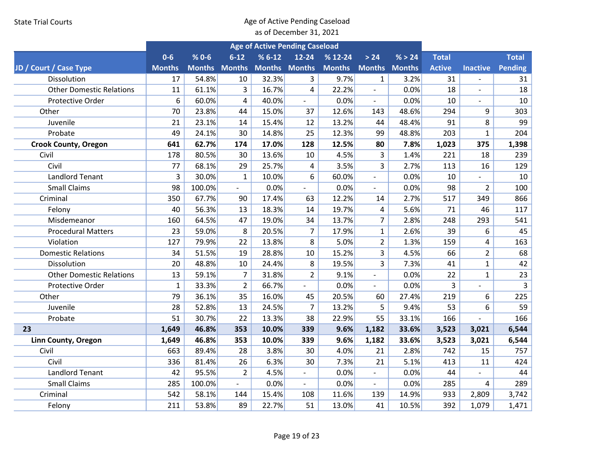|                                 |               |                      |                | <b>Age of Active Pending Caseload</b> |                          |               |                          |        |               |                 |                |
|---------------------------------|---------------|----------------------|----------------|---------------------------------------|--------------------------|---------------|--------------------------|--------|---------------|-----------------|----------------|
|                                 | $0 - 6$       | $% 0 - 6$            | $6 - 12$       | $% 6-12$                              | $12 - 24$                | $% 12-24$     | > 24                     | % > 24 | <b>Total</b>  |                 | <b>Total</b>   |
| JD / Court / Case Type          | <b>Months</b> | <b>Months Months</b> |                | <b>Months Months</b>                  |                          | <b>Months</b> | <b>Months Months</b>     |        | <b>Active</b> | <b>Inactive</b> | Pending        |
| <b>Dissolution</b>              | 17            | 54.8%                | 10             | 32.3%                                 | 3                        | 9.7%          | $\mathbf{1}$             | 3.2%   | 31            |                 | 31             |
| <b>Other Domestic Relations</b> | 11            | 61.1%                | 3              | 16.7%                                 | 4                        | 22.2%         | $\overline{\phantom{a}}$ | 0.0%   | 18            | $\frac{1}{2}$   | 18             |
| Protective Order                | 6             | 60.0%                | $\overline{4}$ | 40.0%                                 | $\overline{\phantom{a}}$ | 0.0%          | $\mathbf{r}$             | 0.0%   | 10            | $\overline{a}$  | 10             |
| Other                           | 70            | 23.8%                | 44             | 15.0%                                 | 37                       | 12.6%         | 143                      | 48.6%  | 294           | 9               | 303            |
| Juvenile                        | 21            | 23.1%                | 14             | 15.4%                                 | 12                       | 13.2%         | 44                       | 48.4%  | 91            | 8               | 99             |
| Probate                         | 49            | 24.1%                | 30             | 14.8%                                 | 25                       | 12.3%         | 99                       | 48.8%  | 203           | $\mathbf{1}$    | 204            |
| <b>Crook County, Oregon</b>     | 641           | 62.7%                | 174            | 17.0%                                 | 128                      | 12.5%         | 80                       | 7.8%   | 1,023         | 375             | 1,398          |
| Civil                           | 178           | 80.5%                | 30             | 13.6%                                 | 10                       | 4.5%          | 3                        | 1.4%   | 221           | 18              | 239            |
| Civil                           | 77            | 68.1%                | 29             | 25.7%                                 | 4                        | 3.5%          | $\overline{3}$           | 2.7%   | 113           | 16              | 129            |
| <b>Landlord Tenant</b>          | 3             | 30.0%                | $\mathbf{1}$   | 10.0%                                 | 6                        | 60.0%         | $\overline{a}$           | 0.0%   | 10            |                 | 10             |
| <b>Small Claims</b>             | 98            | 100.0%               | $\overline{a}$ | 0.0%                                  | $\overline{a}$           | 0.0%          | $\overline{\phantom{a}}$ | 0.0%   | 98            | $\overline{2}$  | 100            |
| Criminal                        | 350           | 67.7%                | 90             | 17.4%                                 | 63                       | 12.2%         | 14                       | 2.7%   | 517           | 349             | 866            |
| Felony                          | 40            | 56.3%                | 13             | 18.3%                                 | 14                       | 19.7%         | 4                        | 5.6%   | 71            | 46              | 117            |
| Misdemeanor                     | 160           | 64.5%                | 47             | 19.0%                                 | 34                       | 13.7%         | $\overline{7}$           | 2.8%   | 248           | 293             | 541            |
| <b>Procedural Matters</b>       | 23            | 59.0%                | 8              | 20.5%                                 | $\overline{7}$           | 17.9%         | $\mathbf{1}$             | 2.6%   | 39            | 6               | 45             |
| Violation                       | 127           | 79.9%                | 22             | 13.8%                                 | 8                        | 5.0%          | $\overline{2}$           | 1.3%   | 159           | 4               | 163            |
| <b>Domestic Relations</b>       | 34            | 51.5%                | 19             | 28.8%                                 | 10                       | 15.2%         | 3                        | 4.5%   | 66            | $\overline{2}$  | 68             |
| Dissolution                     | 20            | 48.8%                | 10             | 24.4%                                 | 8                        | 19.5%         | $\overline{3}$           | 7.3%   | 41            | $\mathbf{1}$    | 42             |
| <b>Other Domestic Relations</b> | 13            | 59.1%                | $\overline{7}$ | 31.8%                                 | $\overline{2}$           | 9.1%          | $\overline{\phantom{a}}$ | 0.0%   | 22            | $\mathbf{1}$    | 23             |
| Protective Order                | $\mathbf{1}$  | 33.3%                | $\overline{2}$ | 66.7%                                 | $\blacksquare$           | 0.0%          | $\blacksquare$           | 0.0%   | 3             | $\overline{a}$  | $\overline{3}$ |
| Other                           | 79            | 36.1%                | 35             | 16.0%                                 | 45                       | 20.5%         | 60                       | 27.4%  | 219           | 6               | 225            |
| Juvenile                        | 28            | 52.8%                | 13             | 24.5%                                 | $\overline{7}$           | 13.2%         | 5                        | 9.4%   | 53            | 6               | 59             |
| Probate                         | 51            | 30.7%                | 22             | 13.3%                                 | 38                       | 22.9%         | 55                       | 33.1%  | 166           |                 | 166            |
| 23                              | 1,649         | 46.8%                | 353            | 10.0%                                 | 339                      | 9.6%          | 1,182                    | 33.6%  | 3,523         | 3,021           | 6,544          |
| Linn County, Oregon             | 1,649         | 46.8%                | 353            | 10.0%                                 | 339                      | 9.6%          | 1,182                    | 33.6%  | 3,523         | 3,021           | 6,544          |
| Civil                           | 663           | 89.4%                | 28             | 3.8%                                  | 30                       | 4.0%          | 21                       | 2.8%   | 742           | 15              | 757            |
| Civil                           | 336           | 81.4%                | 26             | 6.3%                                  | 30                       | 7.3%          | 21                       | 5.1%   | 413           | 11              | 424            |
| <b>Landlord Tenant</b>          | 42            | 95.5%                | $\overline{2}$ | 4.5%                                  | $\overline{a}$           | 0.0%          | $\overline{a}$           | 0.0%   | 44            |                 | 44             |
| <b>Small Claims</b>             | 285           | 100.0%               |                | 0.0%                                  | $\overline{\phantom{a}}$ | 0.0%          | $\overline{\phantom{a}}$ | 0.0%   | 285           | 4               | 289            |
| Criminal                        | 542           | 58.1%                | 144            | 15.4%                                 | 108                      | 11.6%         | 139                      | 14.9%  | 933           | 2,809           | 3,742          |
| Felony                          | 211           | 53.8%                | 89             | 22.7%                                 | 51                       | 13.0%         | 41                       | 10.5%  | 392           | 1,079           | 1,471          |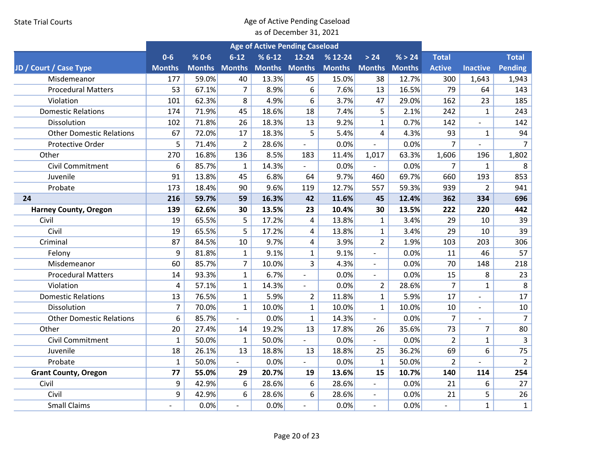|                                 |                |           |                          |                      | <b>Age of Active Pending Caseload</b> |               |                          |               |                |                          |                |
|---------------------------------|----------------|-----------|--------------------------|----------------------|---------------------------------------|---------------|--------------------------|---------------|----------------|--------------------------|----------------|
|                                 | $0-6$          | $% 0 - 6$ | $6 - 12$                 | $% 6-12$             | $12 - 24$                             | $% 12-24$     | > 24                     | % > 24        | <b>Total</b>   |                          | <b>Total</b>   |
| JD / Court / Case Type          | <b>Months</b>  |           | <b>Months Months</b>     | <b>Months Months</b> |                                       | <b>Months</b> | <b>Months</b>            | <b>Months</b> | <b>Active</b>  | <b>Inactive</b>          | Pending        |
| Misdemeanor                     | 177            | 59.0%     | 40                       | 13.3%                | 45                                    | 15.0%         | 38                       | 12.7%         | 300            | 1,643                    | 1,943          |
| <b>Procedural Matters</b>       | 53             | 67.1%     | $\overline{7}$           | 8.9%                 | 6                                     | 7.6%          | 13                       | 16.5%         | 79             | 64                       | 143            |
| Violation                       | 101            | 62.3%     | 8                        | 4.9%                 | 6                                     | 3.7%          | 47                       | 29.0%         | 162            | 23                       | 185            |
| <b>Domestic Relations</b>       | 174            | 71.9%     | 45                       | 18.6%                | 18                                    | 7.4%          | 5                        | 2.1%          | 242            | $\mathbf{1}$             | 243            |
| Dissolution                     | 102            | 71.8%     | 26                       | 18.3%                | 13                                    | 9.2%          | $\mathbf{1}$             | 0.7%          | 142            | $\overline{\phantom{a}}$ | 142            |
| <b>Other Domestic Relations</b> | 67             | 72.0%     | 17                       | 18.3%                | 5                                     | 5.4%          | 4                        | 4.3%          | 93             | $\mathbf{1}$             | 94             |
| Protective Order                | 5              | 71.4%     | $\overline{2}$           | 28.6%                | $\blacksquare$                        | 0.0%          |                          | 0.0%          | $\overline{7}$ |                          | $\overline{7}$ |
| Other                           | 270            | 16.8%     | 136                      | 8.5%                 | 183                                   | 11.4%         | 1,017                    | 63.3%         | 1,606          | 196                      | 1,802          |
| <b>Civil Commitment</b>         | 6              | 85.7%     | $\mathbf{1}$             | 14.3%                | $\sim$                                | 0.0%          | $\overline{a}$           | 0.0%          | $\overline{7}$ | $\mathbf{1}$             | 8              |
| Juvenile                        | 91             | 13.8%     | 45                       | 6.8%                 | 64                                    | 9.7%          | 460                      | 69.7%         | 660            | 193                      | 853            |
| Probate                         | 173            | 18.4%     | 90                       | 9.6%                 | 119                                   | 12.7%         | 557                      | 59.3%         | 939            | $\overline{a}$           | 941            |
| 24                              | 216            | 59.7%     | 59                       | 16.3%                | 42                                    | 11.6%         | 45                       | 12.4%         | 362            | 334                      | 696            |
| <b>Harney County, Oregon</b>    | 139            | 62.6%     | 30                       | 13.5%                | 23                                    | 10.4%         | 30                       | 13.5%         | 222            | 220                      | 442            |
| Civil                           | 19             | 65.5%     | 5                        | 17.2%                | 4                                     | 13.8%         | $\mathbf{1}$             | 3.4%          | 29             | 10                       | 39             |
| Civil                           | 19             | 65.5%     | 5                        | 17.2%                | 4                                     | 13.8%         | $\mathbf{1}$             | 3.4%          | 29             | 10                       | 39             |
| Criminal                        | 87             | 84.5%     | 10                       | 9.7%                 | 4                                     | 3.9%          | $\overline{2}$           | 1.9%          | 103            | 203                      | 306            |
| Felony                          | 9              | 81.8%     | $\mathbf{1}$             | 9.1%                 | $\mathbf{1}$                          | 9.1%          | $\overline{a}$           | 0.0%          | 11             | 46                       | 57             |
| Misdemeanor                     | 60             | 85.7%     | $\overline{7}$           | 10.0%                | $\overline{3}$                        | 4.3%          |                          | 0.0%          | 70             | 148                      | 218            |
| <b>Procedural Matters</b>       | 14             | 93.3%     | $\mathbf{1}$             | 6.7%                 | $\overline{\phantom{a}}$              | 0.0%          | $\overline{\phantom{a}}$ | 0.0%          | 15             | 8                        | 23             |
| Violation                       | 4              | 57.1%     | $\mathbf{1}$             | 14.3%                | $\overline{\phantom{a}}$              | 0.0%          | $\overline{2}$           | 28.6%         | $\overline{7}$ | $\mathbf{1}$             | 8              |
| <b>Domestic Relations</b>       | 13             | 76.5%     | $\mathbf{1}$             | 5.9%                 | $\overline{2}$                        | 11.8%         | $\mathbf{1}$             | 5.9%          | 17             |                          | 17             |
| Dissolution                     | $\overline{7}$ | 70.0%     | $\mathbf{1}$             | 10.0%                | $\mathbf{1}$                          | 10.0%         | $\mathbf{1}$             | 10.0%         | 10             | $\overline{a}$           | 10             |
| <b>Other Domestic Relations</b> | 6              | 85.7%     | $\overline{a}$           | 0.0%                 | $\mathbf{1}$                          | 14.3%         |                          | 0.0%          | $\overline{7}$ |                          | $\overline{7}$ |
| Other                           | 20             | 27.4%     | 14                       | 19.2%                | 13                                    | 17.8%         | 26                       | 35.6%         | 73             | 7                        | 80             |
| <b>Civil Commitment</b>         | $\mathbf{1}$   | 50.0%     | $\mathbf{1}$             | 50.0%                | $\overline{\phantom{a}}$              | 0.0%          | $\overline{\phantom{0}}$ | 0.0%          | $\overline{2}$ | 1                        | 3              |
| Juvenile                        | 18             | 26.1%     | 13                       | 18.8%                | 13                                    | 18.8%         | 25                       | 36.2%         | 69             | 6                        | 75             |
| Probate                         | $\mathbf{1}$   | 50.0%     |                          | 0.0%                 |                                       | 0.0%          | $\mathbf{1}$             | 50.0%         | $\overline{2}$ |                          | $\overline{2}$ |
| <b>Grant County, Oregon</b>     | 77             | 55.0%     | 29                       | 20.7%                | 19                                    | 13.6%         | 15                       | 10.7%         | 140            | 114                      | 254            |
| Civil                           | 9              | 42.9%     | 6                        | 28.6%                | 6                                     | 28.6%         |                          | 0.0%          | 21             | 6                        | 27             |
| Civil                           | 9              | 42.9%     | 6                        | 28.6%                | 6                                     | 28.6%         | $\overline{\phantom{a}}$ | 0.0%          | 21             | 5                        | 26             |
| <b>Small Claims</b>             |                | 0.0%      | $\overline{\phantom{a}}$ | 0.0%                 | $\overline{\phantom{a}}$              | 0.0%          | $\blacksquare$           | 0.0%          |                | $\mathbf{1}$             | $\mathbf{1}$   |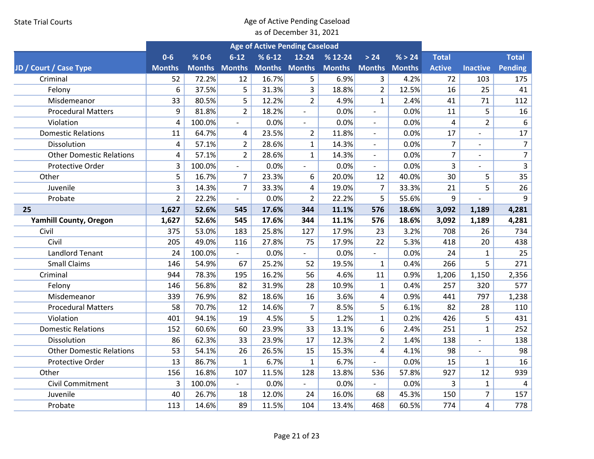|                                 |                |           |                          |                      | <b>Age of Active Pending Caseload</b> |               |                          |        |                |                          |                |
|---------------------------------|----------------|-----------|--------------------------|----------------------|---------------------------------------|---------------|--------------------------|--------|----------------|--------------------------|----------------|
|                                 | $0 - 6$        | $% 0 - 6$ | $6 - 12$                 | $% 6-12$             | $12 - 24$                             | $% 12-24$     | > 24                     | % > 24 | <b>Total</b>   |                          | <b>Total</b>   |
| JD / Court / Case Type          | <b>Months</b>  |           | <b>Months Months</b>     | <b>Months Months</b> |                                       | <b>Months</b> | <b>Months Months</b>     |        | <b>Active</b>  | <b>Inactive</b>          | Pending        |
| Criminal                        | 52             | 72.2%     | 12                       | 16.7%                | 5                                     | 6.9%          | 3                        | 4.2%   | 72             | 103                      | 175            |
| Felony                          | 6              | 37.5%     | 5                        | 31.3%                | 3                                     | 18.8%         | $\overline{2}$           | 12.5%  | 16             | 25                       | 41             |
| Misdemeanor                     | 33             | 80.5%     | 5                        | 12.2%                | $\overline{2}$                        | 4.9%          | $\mathbf{1}$             | 2.4%   | 41             | 71                       | 112            |
| <b>Procedural Matters</b>       | 9              | 81.8%     | $\overline{2}$           | 18.2%                | $\overline{\phantom{a}}$              | 0.0%          | $\blacksquare$           | 0.0%   | 11             | 5                        | 16             |
| Violation                       | 4              | 100.0%    | $\overline{a}$           | 0.0%                 | $\overline{\phantom{a}}$              | 0.0%          | $\blacksquare$           | 0.0%   | $\overline{4}$ | $\overline{2}$           | 6              |
| <b>Domestic Relations</b>       | 11             | 64.7%     | $\overline{4}$           | 23.5%                | $\overline{2}$                        | 11.8%         | $\sim$                   | 0.0%   | 17             | $\overline{a}$           | 17             |
| Dissolution                     | 4              | 57.1%     | $\overline{2}$           | 28.6%                | $\mathbf{1}$                          | 14.3%         | $\overline{\phantom{a}}$ | 0.0%   | $\overline{7}$ |                          | $\overline{7}$ |
| <b>Other Domestic Relations</b> | 4              | 57.1%     | $\overline{2}$           | 28.6%                | $\mathbf{1}$                          | 14.3%         | $\overline{\phantom{a}}$ | 0.0%   | $\overline{7}$ | $\overline{\phantom{a}}$ | $\overline{7}$ |
| Protective Order                | 3              | 100.0%    | $\mathbf{r}$             | 0.0%                 | $\blacksquare$                        | 0.0%          | $\blacksquare$           | 0.0%   | 3              |                          | $\overline{3}$ |
| Other                           | 5              | 16.7%     | $\overline{7}$           | 23.3%                | 6                                     | 20.0%         | 12                       | 40.0%  | 30             | 5                        | 35             |
| Juvenile                        | 3              | 14.3%     | $\overline{7}$           | 33.3%                | 4                                     | 19.0%         | $\overline{7}$           | 33.3%  | 21             | 5                        | 26             |
| Probate                         | $\overline{2}$ | 22.2%     | $\overline{\phantom{a}}$ | 0.0%                 | $\overline{2}$                        | 22.2%         | 5                        | 55.6%  | 9              |                          | 9              |
| 25                              | 1,627          | 52.6%     | 545                      | 17.6%                | 344                                   | 11.1%         | 576                      | 18.6%  | 3,092          | 1,189                    | 4,281          |
| <b>Yamhill County, Oregon</b>   | 1,627          | 52.6%     | 545                      | 17.6%                | 344                                   | 11.1%         | 576                      | 18.6%  | 3,092          | 1,189                    | 4,281          |
| Civil                           | 375            | 53.0%     | 183                      | 25.8%                | 127                                   | 17.9%         | 23                       | 3.2%   | 708            | 26                       | 734            |
| Civil                           | 205            | 49.0%     | 116                      | 27.8%                | 75                                    | 17.9%         | 22                       | 5.3%   | 418            | 20                       | 438            |
| <b>Landlord Tenant</b>          | 24             | 100.0%    | $\blacksquare$           | 0.0%                 |                                       | 0.0%          |                          | 0.0%   | 24             | $\mathbf{1}$             | 25             |
| <b>Small Claims</b>             | 146            | 54.9%     | 67                       | 25.2%                | 52                                    | 19.5%         | $\mathbf{1}$             | 0.4%   | 266            | 5                        | 271            |
| Criminal                        | 944            | 78.3%     | 195                      | 16.2%                | 56                                    | 4.6%          | 11                       | 0.9%   | 1,206          | 1,150                    | 2,356          |
| Felony                          | 146            | 56.8%     | 82                       | 31.9%                | 28                                    | 10.9%         | $\mathbf{1}$             | 0.4%   | 257            | 320                      | 577            |
| Misdemeanor                     | 339            | 76.9%     | 82                       | 18.6%                | 16                                    | 3.6%          | 4                        | 0.9%   | 441            | 797                      | 1,238          |
| <b>Procedural Matters</b>       | 58             | 70.7%     | 12                       | 14.6%                | $\overline{7}$                        | 8.5%          | 5                        | 6.1%   | 82             | 28                       | 110            |
| Violation                       | 401            | 94.1%     | 19                       | 4.5%                 | 5                                     | 1.2%          | $\mathbf{1}$             | 0.2%   | 426            | 5                        | 431            |
| <b>Domestic Relations</b>       | 152            | 60.6%     | 60                       | 23.9%                | 33                                    | 13.1%         | 6                        | 2.4%   | 251            | $\mathbf{1}$             | 252            |
| Dissolution                     | 86             | 62.3%     | 33                       | 23.9%                | 17                                    | 12.3%         | $\overline{2}$           | 1.4%   | 138            | $\overline{\phantom{a}}$ | 138            |
| <b>Other Domestic Relations</b> | 53             | 54.1%     | 26                       | 26.5%                | 15                                    | 15.3%         | 4                        | 4.1%   | 98             |                          | 98             |
| Protective Order                | 13             | 86.7%     | $\mathbf{1}$             | 6.7%                 | $\mathbf{1}$                          | 6.7%          |                          | 0.0%   | 15             | $\mathbf{1}$             | 16             |
| Other                           | 156            | 16.8%     | 107                      | 11.5%                | 128                                   | 13.8%         | 536                      | 57.8%  | 927            | 12                       | 939            |
| <b>Civil Commitment</b>         | 3              | 100.0%    |                          | 0.0%                 |                                       | 0.0%          |                          | 0.0%   | 3              | $\mathbf{1}$             | 4              |
| Juvenile                        | 40             | 26.7%     | 18                       | 12.0%                | 24                                    | 16.0%         | 68                       | 45.3%  | 150            | $\overline{7}$           | 157            |
| Probate                         | 113            | 14.6%     | 89                       | 11.5%                | 104                                   | 13.4%         | 468                      | 60.5%  | 774            | 4                        | 778            |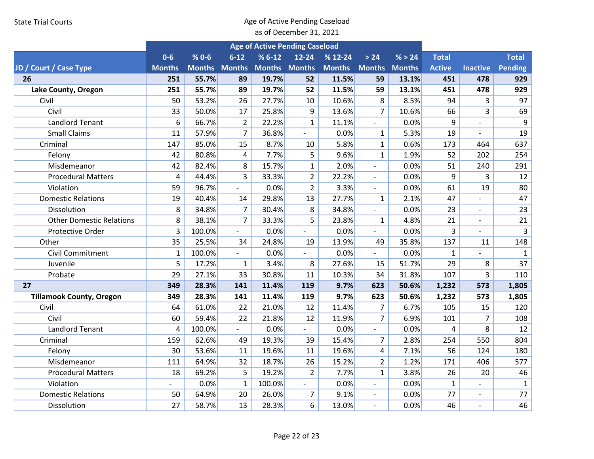|                                 |               |                      |                | <b>Age of Active Pending Caseload</b> |                          |               |                          |               |               |                          |                |
|---------------------------------|---------------|----------------------|----------------|---------------------------------------|--------------------------|---------------|--------------------------|---------------|---------------|--------------------------|----------------|
|                                 | $0-6$         | $% 0 - 6$            | $6 - 12$       | $%6-12$                               | $12 - 24$                | $% 12-24$     | > 24                     | % > 24        | <b>Total</b>  |                          | <b>Total</b>   |
| JD / Court / Case Type          | <b>Months</b> | <b>Months Months</b> |                | <b>Months Months</b>                  |                          | <b>Months</b> | <b>Months</b>            | <b>Months</b> | <b>Active</b> | <b>Inactive</b>          | Pending        |
| 26                              | 251           | 55.7%                | 89             | 19.7%                                 | 52                       | 11.5%         | 59                       | 13.1%         | 451           | 478                      | 929            |
| Lake County, Oregon             | 251           | 55.7%                | 89             | 19.7%                                 | 52                       | 11.5%         | 59                       | 13.1%         | 451           | 478                      | 929            |
| Civil                           | 50            | 53.2%                | 26             | 27.7%                                 | 10                       | 10.6%         | 8                        | 8.5%          | 94            | 3                        | 97             |
| Civil                           | 33            | 50.0%                | 17             | 25.8%                                 | 9                        | 13.6%         | $\overline{7}$           | 10.6%         | 66            | 3                        | 69             |
| <b>Landlord Tenant</b>          | 6             | 66.7%                | $\overline{2}$ | 22.2%                                 | $\mathbf{1}$             | 11.1%         | $\overline{\phantom{a}}$ | 0.0%          | 9             | $\overline{a}$           | 9              |
| <b>Small Claims</b>             | 11            | 57.9%                | $\overline{7}$ | 36.8%                                 | $\overline{a}$           | 0.0%          | $\mathbf{1}$             | 5.3%          | 19            | $\overline{a}$           | 19             |
| Criminal                        | 147           | 85.0%                | 15             | 8.7%                                  | 10                       | 5.8%          | $\mathbf{1}$             | 0.6%          | 173           | 464                      | 637            |
| Felony                          | 42            | 80.8%                | 4              | 7.7%                                  | 5                        | 9.6%          | $\mathbf{1}$             | 1.9%          | 52            | 202                      | 254            |
| Misdemeanor                     | 42            | 82.4%                | 8              | 15.7%                                 | $\mathbf{1}$             | 2.0%          | $\blacksquare$           | 0.0%          | 51            | 240                      | 291            |
| <b>Procedural Matters</b>       | 4             | 44.4%                | $\overline{3}$ | 33.3%                                 | $\overline{2}$           | 22.2%         | $\blacksquare$           | 0.0%          | 9             | 3                        | 12             |
| Violation                       | 59            | 96.7%                | $\blacksquare$ | 0.0%                                  | $\overline{2}$           | 3.3%          | $\blacksquare$           | 0.0%          | 61            | 19                       | 80             |
| <b>Domestic Relations</b>       | 19            | 40.4%                | 14             | 29.8%                                 | 13                       | 27.7%         | $\mathbf{1}$             | 2.1%          | 47            |                          | 47             |
| Dissolution                     | 8             | 34.8%                | $\overline{7}$ | 30.4%                                 | 8                        | 34.8%         | $\overline{\phantom{a}}$ | 0.0%          | 23            | $\overline{a}$           | 23             |
| <b>Other Domestic Relations</b> | 8             | 38.1%                | $\overline{7}$ | 33.3%                                 | 5                        | 23.8%         | $\mathbf{1}$             | 4.8%          | 21            | $\overline{\phantom{0}}$ | 21             |
| Protective Order                | 3             | 100.0%               | $\frac{1}{2}$  | 0.0%                                  | $\overline{a}$           | 0.0%          | $\overline{\phantom{a}}$ | 0.0%          | 3             |                          | $\overline{3}$ |
| Other                           | 35            | 25.5%                | 34             | 24.8%                                 | 19                       | 13.9%         | 49                       | 35.8%         | 137           | 11                       | 148            |
| Civil Commitment                | $\mathbf{1}$  | 100.0%               |                | 0.0%                                  | $\overline{\phantom{a}}$ | 0.0%          | $\blacksquare$           | 0.0%          | $\mathbf{1}$  |                          | $\mathbf{1}$   |
| Juvenile                        | 5             | 17.2%                | $\mathbf{1}$   | 3.4%                                  | 8                        | 27.6%         | 15                       | 51.7%         | 29            | 8                        | 37             |
| Probate                         | 29            | 27.1%                | 33             | 30.8%                                 | 11                       | 10.3%         | 34                       | 31.8%         | 107           | 3                        | 110            |
| 27                              | 349           | 28.3%                | 141            | 11.4%                                 | 119                      | 9.7%          | 623                      | 50.6%         | 1,232         | 573                      | 1,805          |
| <b>Tillamook County, Oregon</b> | 349           | 28.3%                | 141            | 11.4%                                 | 119                      | 9.7%          | 623                      | 50.6%         | 1,232         | 573                      | 1,805          |
| Civil                           | 64            | 61.0%                | 22             | 21.0%                                 | 12                       | 11.4%         | 7                        | 6.7%          | 105           | 15                       | 120            |
| Civil                           | 60            | 59.4%                | 22             | 21.8%                                 | 12                       | 11.9%         | $\overline{7}$           | 6.9%          | 101           | $\overline{7}$           | 108            |
| <b>Landlord Tenant</b>          | 4             | 100.0%               |                | 0.0%                                  |                          | 0.0%          | $\frac{1}{2}$            | 0.0%          | 4             | 8                        | 12             |
| Criminal                        | 159           | 62.6%                | 49             | 19.3%                                 | 39                       | 15.4%         | $\overline{7}$           | 2.8%          | 254           | 550                      | 804            |
| Felony                          | 30            | 53.6%                | 11             | 19.6%                                 | 11                       | 19.6%         | 4                        | 7.1%          | 56            | 124                      | 180            |
| Misdemeanor                     | 111           | 64.9%                | 32             | 18.7%                                 | 26                       | 15.2%         | $\overline{2}$           | 1.2%          | 171           | 406                      | 577            |
| <b>Procedural Matters</b>       | 18            | 69.2%                | 5              | 19.2%                                 | $\overline{2}$           | 7.7%          | $\mathbf{1}$             | 3.8%          | 26            | 20                       | 46             |
| Violation                       |               | 0.0%                 | $\mathbf 1$    | 100.0%                                | $\overline{a}$           | 0.0%          | $\overline{a}$           | 0.0%          | $\mathbf{1}$  |                          | $\mathbf{1}$   |
| <b>Domestic Relations</b>       | 50            | 64.9%                | 20             | 26.0%                                 | 7                        | 9.1%          | $\overline{\phantom{a}}$ | 0.0%          | 77            | $\overline{\phantom{0}}$ | 77             |
| Dissolution                     | 27            | 58.7%                | 13             | 28.3%                                 | 6                        | 13.0%         | $\overline{\phantom{a}}$ | 0.0%          | 46            | $\overline{a}$           | 46             |